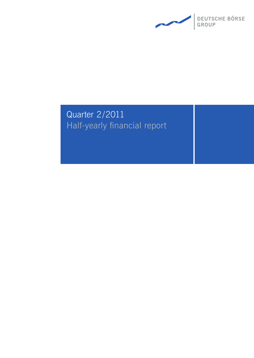

# Quarter 2/2011 Half-yearly financial report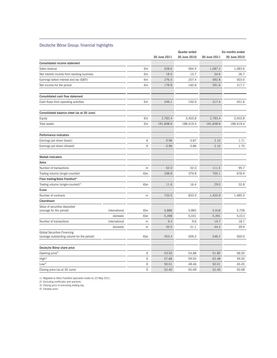### Deutsche Börse Group: financial highlights

L

|                                                                            |               |           |              | Quarter ended |              | Six months ended |
|----------------------------------------------------------------------------|---------------|-----------|--------------|---------------|--------------|------------------|
|                                                                            |               |           | 30 June 2011 | 30 June 2010  | 30 June 2011 | 30 June 2010     |
| Consolidated income statement                                              |               |           |              |               |              |                  |
| Sales revenue                                                              |               | €m        | 528.6        | 564.4         | 1,087.2      | 1,083.6          |
| Net interest income from banking business                                  |               | €m        | 18.5         | 15.7          | 34.6         | 26.7             |
| Earnings before interest and tax (EBIT)                                    |               | €m        | 276.5        | 257.4         | 592.8        | 503.0            |
| Net income for the period                                                  |               | €m        | 178.8        | 160.8         | 391.6        | 317.7            |
| Consolidated cash flow statement                                           |               |           |              |               |              |                  |
| Cash flows from operating activities                                       |               | €m        | 249.1        | 150.9         | 317.4        | 451.6            |
| Consolidated balance sheet (as at 30 June)                                 |               |           |              |               |              |                  |
| Equity                                                                     |               | €m        | 2,783.4      | 3,403.8       | 2,783.4      | 3,403.8          |
| Total assets                                                               |               | €m        | 191,608.6    | 188,419.4     | 191,608.6    | 188,419.4        |
| Performance indicators                                                     |               |           |              |               |              |                  |
| Earnings per share (basic)                                                 |               | €         | 0.96         | 0.87          | 2.10         | 1.71             |
| Earnings per share (diluted)                                               |               | €         | 0.96         | 0.86          | 2.10         | 1.70             |
| <b>Market indicators</b>                                                   |               |           |              |               |              |                  |
| Xetra                                                                      |               |           |              |               |              |                  |
| Number of transactions                                                     |               | m         | 52.0         | 52.0          | 111.5        | 95.7             |
| Trading volume (single-counted)                                            |               | €bn       | 338.8        | 379.8         | 700.1        | 678.9            |
| Floor trading/Xetra Frankfurt <sup>1)</sup>                                |               |           |              |               |              |                  |
| Trading volume (single-counted) <sup>2)</sup>                              |               | €bn       | 11.6         | 16.4          | 29.0         | 32.8             |
| Eurex                                                                      |               |           |              |               |              |                  |
| Number of contracts                                                        |               | m         | 733.5        | 833.5         | 1,420.9      | 1,485.5          |
| Clearstream                                                                |               |           |              |               |              |                  |
| Value of securities deposited                                              |               |           |              |               |              |                  |
| (average for the period)                                                   | international | €bn       | 5,886        | 5,882         | 5,918        | 5,738            |
|                                                                            | domestic      | €bn       | 5,398        | 5,031         | 5,391        | 5,013            |
| Number of transactions                                                     | international | ${\sf m}$ | 9.3          | 9.6           | 19.7         | 18.7             |
|                                                                            | domestic      | m         | 20.5         | 21.1          | 44.2         | 39.9             |
| Global Securities Financing<br>(average outstanding volume for the period) |               | €bn       | 553.4        | 509.2         | 548.2        | 500.0            |
| Deutsche Börse share price                                                 |               |           |              |               |              |                  |
| Opening price <sup>3)</sup>                                                |               | €         | 53.55        | 54.88         | 51.80        | 58.00            |
| High <sup>4)</sup>                                                         |               | €         | 57.68        | 59.00         | 62.48        | 59.00            |
| Low <sup>4</sup>                                                           |               | €         | 50.01        | 48.46         | 50.01        | 45.45            |
| Closing price (as at 30 June)                                              |               | €         | 52.40        | 50.08         | 52.40        | 50.08            |

1) Migrated to Xetra Frankfurt specialist model on 23 May 2011 2) Excluding certificates and warrants 3) Closing price of preceding trading day

4) Intraday price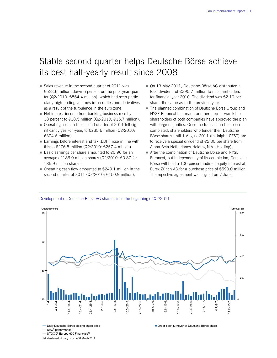## Stable second quarter helps Deutsche Börse achieve its best half-yearly result since 2008

- $\blacksquare$  Sales revenue in the second quarter of 2011 was €528.6 million, down 6 percent on the prior-year quarter (Q2/2010: €564.4 million), which had seen particularly high trading volumes in securities and derivatives as a result of the turbulence in the euro zone.
- Net interest income from banking business rose by 18 percent to €18.5 million (Q2/2010: €15.7 million).
- Operating costs in the second quarter of 2011 fell significantly year-on-year, to €235.6 million (Q2/2010: €304.6 million).
- Earnings before interest and tax (EBIT) rose in line with this to €276.5 million (Q2/2010: €257.4 million).
- Basic earnings per share amounted to €0.96 for an average of 186.0 million shares (Q2/2010: €0.87 for 185.9 million shares).
- Operating cash flow amounted to  $€249.1$  million in the second quarter of 2011 (Q2/2010: €150.9 million).
- On 13 May 2011, Deutsche Börse AG distributed a total dividend of €390.7 million to its shareholders for financial year 2010. The dividend was €2.10 per share, the same as in the previous year.
- The planned combination of Deutsche Börse Group and NYSE Euronext has made another step forward: the shareholders of both companies have approved the plan with large majorities. Once the transaction has been completed, shareholders who tender their Deutsche Börse shares until 1 August 2011 (midnight, CEST) are to receive a special dividend of €2.00 per share from Alpha Beta Netherlands Holding N.V. (Holding).
- **After the combination of Deutsche Börse and NYSE** Euronext, but independently of its completion, Deutsche Börse will hold a 100 percent indirect equity interest at Eurex Zürich AG for a purchase price of €590.0 million. The repective agreement was signed on 7 June.



Development of Deutsche Börse AG shares since the beginning of Q2/2011

**- Daily Deutsche Börse closing share price** 

 $=$  DAX<sup>®</sup> performance<sup>1)</sup>

STOXX<sup>®</sup> Europe 600 Financials<sup>1)</sup>

1) Index-linked, closing price on 31 March 2011

Order book turnover of Deutsche Börse share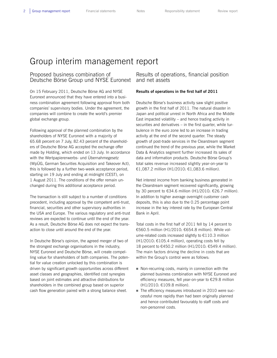## Group interim management report

## Proposed business combination of Deutsche Börse Group und NYSE Euronext

On 15 February 2011, Deutsche Börse AG and NYSE Euronext announced that they have entered into a business combination agreement following approval from both companies' supervisory bodies. Under the agreement, the companies will combine to create the world's premier global exchange group.

Following approval of the planned combination by the shareholders of NYSE Euronext with a majority of 65.68 percent on 7 July, 82.43 percent of the shareholders of Deutsche Börse AG accepted the exchange offer made by Holding, which ended on 13 July. In accordance with the Wertpapiererwerbs- und Übernahmegesetz (WpÜG, German Securities Acquisition and Takeover Act), this is followed by a further two-week acceptance period, starting on 19 July and ending at midnight (CEST), on 1 August 2011. The conditions of the offer remain unchanged during this additional acceptance period.

The transaction is still subject to a number of conditions precedent, including approval by the competent anti-trust, financial, securities and other supervisory authorities in the USA and Europe. The various regulatory and anti-trust reviews are expected to continue until the end of the year. As a result, Deutsche Börse AG does not expect the transaction to close until around the end of the year.

In Deutsche Börse's opinion, the agreed merger of two of the strongest exchange organisations in the industry, NYSE Euronext and Deutsche Börse, will create compelling value for shareholders of both companies. The potential for value creation unlocked by this combination is driven by significant growth opportunities across different asset classes and geographies, identified cost synergies based on joint estimates and attractive distributions for shareholders in the combined group based on superior cash flow generation paired with a strong balance sheet.

Results of operations, financial position and net assets

#### **Results of operations in the first half of 2011**

Deutsche Börse's business activity saw slight positive growth in the first half of 2011. The natural disaster in Japan and political unrest in North Africa and the Middle East impacted volatility – and hence trading activity in securities and derivatives – in the first quarter, while turbulence in the euro zone led to an increase in trading activity at the end of the second quarter. The steady growth of post-trade services in the Clearstream segment continued the trend of the previous year, while the Market Data & Analytics segment further increased its sales of data and information products. Deutsche Börse Group's total sales revenue increased slightly year-on-year to €1,087.2 million (H1/2010: €1,083.6 million).

Net interest income from banking business generated in the Clearstream segment recovered significantly, growing by 30 percent to €34.6 million (H1/2010: €26.7 million). In addition to higher average overnight customer cash deposits, this is also due to the 0.25 percentage point increase in the key interest rate by the European Central Bank in April.

Total costs in the first half of 2011 fell by 14 percent to €560.5 million (H1/2010: €654.8 million). While volume-related costs increased slightly to €110.3 million (H1/2010: €105.4 million), operating costs fell by 18 percent to €450.2 million (H1/2010: €549.4 million). The main factors driving the decline in costs that are within the Group's control were as follows:

- Non-recurring costs, mainly in connection with the planned business combination with NYSE Euronext and efficiency measures, fell year-on-year to €29.8 million (H1/2010: €109.8 million).
- The efficiency measures introduced in 2010 were successful more rapidly than had been originally planned and hence contributed favourably to staff costs and non-personnel costs.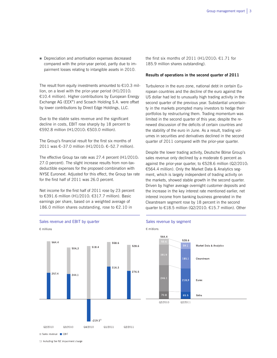Depreciation and amortisation expenses decreased compared with the prior-year period, partly due to impairment losses relating to intangible assets in 2010.

The result from equity investments amounted to  $E10.3$  million, on a level with the prior-year period (H1/2010: €10.4 million). Higher contributions by European Energy Exchange AG (EEX®) and Scoach Holding S.A. were offset by lower contributions by Direct Edge Holdings, LLC.

Due to the stable sales revenue and the significant decline in costs, EBIT rose sharply by 18 percent to €592.8 million (H1/2010: €503.0 million).

The Group's financial result for the first six months of 2011 was €–37.0 million (H1/2010: €–52.7 million).

The effective Group tax rate was 27.4 percent (H1/2010: 27.0 percent). The slight increase results from non-taxdeductible expenses for the proposed combination with NYSE Euronext. Adjusted for this effect, the Group tax rate for the first half of 2011 was 26.0 percent.

Net income for the first half of 2011 rose by 23 percent to €391.6 million (H1/2010: €317.7 million). Basic earnings per share, based on a weighted average of 186.0 million shares outstanding, rose to €2.10 in

the first six months of 2011 (H1/2010:  $£1.71$  for 185.9 million shares outstanding).

#### **Results of operations in the second quarter of 2011**

Turbulence in the euro zone, national debt in certain European countries and the decline of the euro against the US dollar had led to unusually high trading activity in the second quarter of the previous year. Substantial uncertainty in the markets prompted many investors to hedge their portfolios by restructuring them. Trading momentum was limited in the second quarter of this year, despite the renewed discussion of the deficits of certain countries and the stability of the euro in June. As a result, trading volumes in securities and derivatives declined in the second quarter of 2011 compared with the prior-year quarter.

Despite the lower trading activity, Deutsche Börse Group's sales revenue only declined by a moderate 6 percent as against the prior-year quarter, to €528.6 million (Q2/2010: €564.4 million). Only the Market Data & Analytics segment, which is largely independent of trading activity on the markets, showed stable growth in the second quarter. Driven by higher average overnight customer deposits and the increase in the key interest rate mentioned earlier, net interest income from banking business generated in the Clearstream segment rose by 18 percent in the second quarter to €18.5 million (Q2/2010: €15.7 million). Other



1) Including the ISE impairment charge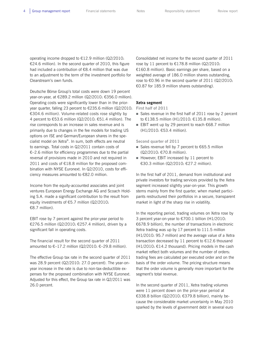operating income dropped to €12.9 million (Q2/2010: €24.6 million). In the second quarter of 2010, this figure had included a contribution of €8.4 million that was due to an adjustment to the term of the investment portfolio for Clearstream's own funds.

Deutsche Börse Group's total costs were down 19 percent year-on-year, at €289.2 million (Q2/2010: €356.0 million). Operating costs were significantly lower than in the prioryear quarter, falling 23 percent to €235.6 million (Q2/2010: €304.6 million). Volume-related costs rose slightly by 4 percent to €53.6 million (Q2/2010:  $€51.4$  million). The rise corresponds to an increase in sales revenue and is primarily due to changes in the fee models for trading US options on ISE and German/European shares in the specialist model on Xetra®. In sum, both effects are neutral to earnings. Total costs in Q2/2011 contain costs of €–2.6 million for efficiency programmes due to the partial reversal of provisions made in 2010 and not required in 2011 and costs of €18.8 million for the proposed combination with NYSE Euronext. In Q2/2010, costs for efficiency measures amounted to €82.0 million.

Income from the equity-accounted associates and joint ventures European Energy Exchange AG and Scoach Holding S.A. made a significant contribution to the result from equity investments of €5.7 million (Q2/2010: €8.7 million).

EBIT rose by 7 percent against the prior-year period to €276.5 million (Q2/2010: €257.4 million), driven by a significant fall in operating costs.

The financial result for the second quarter of 2011 amounted to  $€-17.2$  million (Q2/2010:  $€-29.8$  million).

The effective Group tax rate in the second quarter of 2011 was 28.9 percent (Q2/2010: 27.0 percent). The year-onyear increase in the rate is due to non-tax-deductible expenses for the proposed combination with NYSE Euronext. Adjusted for this effect, the Group tax rate in Q2/2011 was 26.0 percent.

Consolidated net income for the second quarter of 2011 rose by 11 percent to €178.8 million (Q2/2010: €160.8 million). Basic earnings per share, based on a weighted average of 186.0 million shares outstanding, rose to €0.96 in the second quarter of 2011 (Q2/2010: €0.87 for 185.9 million shares outstanding).

#### **Xetra segment**

**First half of 2011**

- Sales revenue in the first half of 2011 rose by 2 percent to €138.5 million (H1/2010: €135.8 million).
- EBIT went up by 29 percent to reach  $€68.7$  million (H1/2010: €53.4 million).

**Second quarter of 2011**

- Sales revenue fell by 7 percent to  $€65.5$  million (Q2/2010: €70.8 million).
- $\blacksquare$  However, EBIT increased by 11 percent to €30.3 million (Q2/2010: €27.2 million).

In the first half of 2011, demand from institutional and private investors for trading services provided by the Xetra segment increased slightly year-on-year. This growth stems mainly from the first quarter, when market participants restructured their portfolios in a secure, transparent market in light of the sharp rise in volatility.

In the reporting period, trading volumes on Xetra rose by 3 percent year-on-year to €700.1 billion (H1/2010: €678.9 billion), the number of transactions in electronic Xetra trading was up by 17 percent to 111.5 million (H1/2010: 95.7 million) and the average value of a Xetra transaction decreased by 11 percent to €12.6 thousand (H1/2010: €14.2 thousand). Pricing models in the cash market reflect both volumes and the number of orders: trading fees are calculated per executed order and on the basis of the order volume. The pricing structure means that the order volume is generally more important for the segment's total revenue.

In the second quarter of 2011, Xetra trading volumes were 11 percent down on the prior-year period at €338.8 billion (Q2/2010: €379.8 billion), mainly because the considerable market uncertainty in May 2010 sparked by the levels of government debt in several euro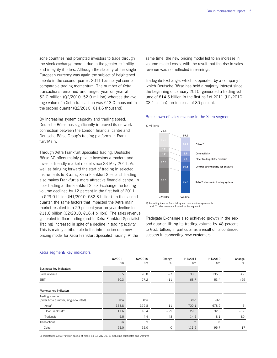zone countries had prompted investors to trade through the stock exchange more – due to the greater reliability and integrity it offers. Although the stability of the single European currency was again the subject of heightened debate in the second quarter, 2011 has not yet seen a comparable trading momentum. The number of Xetra transactions remained unchanged year-on-year at 52.0 million (Q2/2010: 52.0 million) whereas the average value of a Xetra transaction was €13.0 thousand in the second quarter (Q2/2010:  $£14.6$  thousand).

By increasing system capacity and trading speed, Deutsche Börse has significantly improved its network connection between the London financial centre and Deutsche Börse Group's trading platforms in Frankfurt/Main.

Through Xetra Frankfurt Specialist Trading, Deutsche Börse AG offers mainly private investors a modern and investor-friendly market model since 23 May 2011. As well as bringing forward the start of trading in selected instruments to 8 a.m., Xetra Frankfurt Specialist Trading also makes Frankfurt a more attractive financial centre. In floor trading at the Frankfurt Stock Exchange the trading volume declined by 12 percent in the first half of 2011 to €29.0 billion (H1/2010: €32.8 billion). In the second quarter, the same factors that impacted the Xetra main market resulted in a 29 percent year-on-year decline to €11.6 billion (Q2/2010: €16.4 billion). The sales revenue generated in floor trading (and in Xetra Frankfurt Specialist Trading) increased in spite of a decline in trading activity. This is mainly attributable to the introduction of a new pricing model for Xetra Frankfurt Specialist Trading. At the

same time, the new pricing model led to an increase in volume-related costs, with the result that the rise in sales revenue was not reflected in earnings.

Tradegate Exchange, which is operated by a company in which Deutsche Börse has held a majority interest since the beginning of January 2010, generated a trading volume of €14.6 billion in the first half of 2011 (H1/2010: €8.1 billion), an increase of 80 percent.

#### Breakdown of sales revenue in the Xetra segment



1) Including income from listing and cooperation agreements and IT sales revenue allocated to the segment

Tradegate Exchange also achieved growth in the second quarter, lifting its trading volume by 48 percent to €6.5 billion, in particular as a result of its continued success in connecting new customers.

|                                                         | Q2/2011<br>€m | Q2/2010<br>€m | Change<br>%   | H1/2011<br>€m | H1/2010<br>€m | Change<br>% |
|---------------------------------------------------------|---------------|---------------|---------------|---------------|---------------|-------------|
| Business: key indicators                                |               |               |               |               |               |             |
| Sales revenue                                           | 65.5          | 70.8          | $-7$          | 138.5         | 135.8         | $+2$        |
| <b>EBIT</b>                                             | 30.3          | 27.2          | $+11$         | 68.7          | 53.4          | $+29$       |
| Markets: key indicators                                 |               |               |               |               |               |             |
| Trading volume<br>(order book turnover, single-counted) | €bn           | €bn           |               | €bn           | €bn           |             |
| Xetra <sup>®</sup>                                      | 338.8         | 379.8         | $-11$         | 700.1         | 678.9         | 3           |
| Floor Frankfurt <sup>1)</sup>                           | 11.6          | 16.4          | $-29$         | 29.0          | 32.8          | $-12$       |
| Tradegate                                               | 6.5           | 4.4           | 48            | 14.6          | 8.1           | 80          |
| Transactions                                            | m             | m             |               | m             | m             |             |
| Xetra                                                   | 52.0          | 52.0          | $\mathcal{O}$ | 111.5         | 95.7          | 17          |

#### Xetra segment: key indicators

1) Migrated to Xetra Frankfurt specialist model on 23 May 2011; excluding certificates and warrants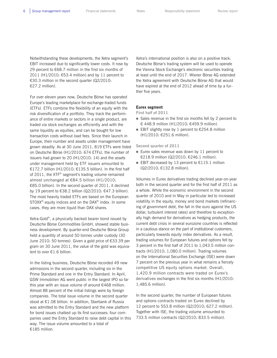Notwithstanding these developments, the Xetra segment's EBIT increased due to significantly lower costs. It rose by 29 percent to €68.7 million in the first six months of 2011 (H1/2010: €53.4 million) and by 11 percent to €30.3 million in the second quarter (Q2/2010: €27.2 million).

For over eleven years now, Deutsche Börse has operated Europe's leading marketplace for exchange-traded funds (ETFs). ETFs combine the flexibility of an equity with the risk diversification of a portfolio. They track the performance of entire markets or sectors in a single product, are traded via stock exchanges as efficiently and with the same liquidity as equities, and can be bought for low transaction costs without load fees. Since their launch in Europe, their number and assets under management have grown steadily. As at 30 June 2011, 819 ETFs were listed on Deutsche Börse (H1/2010: 674 ETFs), the number of issuers had grown to 20 (H1/2010: 14) and the assets under management held by ETF issuers amounted to €172.7 billion (H1/2010: €135.5 billion). In the first half of 2011, the  $XTF^{\circledast}$  segment's trading volume remained almost unchanged at €84.5 billion (H1/2010: €85.0 billion). In the second quarter of 2011, it declined by 19 percent to €38.2 billion (Q2/2010: €47.3 billion). The most heavily traded ETFs are based on the European STOXX® equity indices and on the DAX® index. In some cases, they are more liquid than DAX shares.

Xetra-Gold®, a physically backed bearer bond issued by Deutsche Börse Commodities GmbH, showed stable business development. By quarter-end Deutsche Börse Group held a quantity of around 50 tonnes under custody (30 June 2010: 50 tonnes). Given a gold price of €33.39 per gram on 30 June 2011, the value of the gold was equivalent to over €1.6 billion.

In the listing business, Deutsche Börse recorded 49 new admissions in the second quarter, including six in the Prime Standard and one in the Entry Standard. In April, GSW Immobilien AG went public in the largest IPO so far this year with an issue volume of around €468 million. Almost 88 percent of the initial listings were by foreign companies. The total issue volume in the second quarter stood at €1.08 billion. In addition, Sberbank of Russia was admitted to the Entry Standard and the new platform for bond issues chalked up its first successes: four companies used the Entry Standard to raise debt capital in this way. The issue volume amounted to a total of €185 million.

Xetra's international position is also on a positive track: Deutsche Börse's trading system will be used to operate the Vienna Stock Exchange's electronic securities trading at least until the end of 2017. Wiener Börse AG extended the Xetra agreement with Deutsche Börse AG that would have expired at the end of 2012 ahead of time by a further five years.

#### **Eurex segment**

**First half of 2011** 

- Sales revenue in the first six months fell by 2 percent to € 448.9 million (H1/2010: €459.9 million).
- EBIT slightly rose by 1 percent to  $£254.8$  million (H1/2010: €251.6 million).

**Second quarter of 2011**

- Eurex sales revenue was down by 11 percent to €218.9 million (Q2/2010: €246.1 million).
- EBIT decreased by 13 percent to  $£115.1$  million (Q2/2010: €132.8 million).

Volumes in Eurex derivatives trading declined year-on-year both in the second quarter and for the first half of 2011 as a whole. While the economic environment in the second quarter of 2010 and in May in particular led to increased volatility in the equity, money and bond markets (refinancing of government debt, the fall in the euro against the US dollar, turbulent interest rates) and therefore to exceptionally high demand for derivatives as hedging products, the current debt crisis in several eurozone countries is reflected in a cautious stance on the part of institutional customers, particularly towards equity index derivatives. As a result, trading volumes for European futures and options fell by 3 percent in the first half of 2011 to 1,043.5 million contracts (H1/2010: 1,080.0 million). Trading volumes on the International Securities Exchange (ISE) were down 7 percent on the previous year in what remains a fiercely competitive US equity options market. Overall, 1,420.9 million contracts were traded on Eurex's derivatives exchanges in the first six months (H1/2010: 1,485.6 million).

In the second quarter, the number of European futures and options contracts traded on Eurex declined by 12 percent to 553.8 million (Q2/2010: 627.2 million). Together with ISE, the trading volume amounted to 733.5 million contracts (Q2/2010: 833.5 million).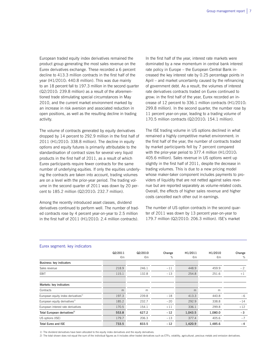European traded equity index derivatives remained the product group generating the most sales revenue on the Eurex derivatives exchange. These recorded a 6 percent decline to 413.3 million contracts in the first half of the year (H1/2010: 440.8 million). This was due mainly to an 18 percent fall to 197.3 million in the second quarter (Q2/2010: 239.8 million) as a result of the aforementioned trade stimulating special circumstances in May 2010, and the current market environment marked by an increase in risk aversion and associated reduction in open positions, as well as the resulting decline in trading activity.

The volume of contracts generated by equity derivatives dropped by 14 percent to 292.9 million in the first half of 2011 (H1/2010: 338.8 million). The decline in equity options and equity futures is primarily attributable to the standardisation of contract sizes for several very liquid products in the first half of 2011, as a result of which Eurex participants require fewer contracts for the same number of underlying equities. If only the equities underlying the contracts are taken into account, trading volumes are on a level with the prior-year period. The trading volume in the second quarter of 2011 was down by 20 percent to 185.2 million (Q2/2010: 232.7 million).

Among the recently introduced asset classes, dividend derivatives continued to perform well. The number of traded contracts rose by 4 percent year-on-year to 2.5 million in the first half of 2011 (H1/2010: 2.4 million contracts).

In the first half of the year, interest rate markets were dominated by a new momentum in central bank interest rate policy in Europe – the European Central Bank increased the key interest rate by 0.25 percentage points in April – and market uncertainty caused by the refinancing of government debt. As a result, the volumes of interest rate derivatives contracts traded on Eurex continued to grow: in the first half of the year, Eurex recorded an increase of 12 percent to 336.1 million contracts (H1/2010: 299.8 million). In the second quarter, the number rose by 11 percent year-on-year, leading to a trading volume of 170.5 million contracts (Q2/2010: 154.1 million).

The ISE trading volume in US options declined in what remained a highly competitive market environment: in the first half of the year, the number of contracts traded by market participants fell by 7 percent compared with the prior-year period to 377.4 million (H1/2010: 405.6 million). Sales revenue in US options went up slightly in the first half of 2011, despite the decrease in trading volumes. This is due to a new pricing model whose maker-taker component includes payments to providers of liquidity that are not netted against sales revenue but are reported separately as volume-related costs. Overall, the effects of higher sales revenue and higher costs cancelled each other out in earnings.

The number of US option contracts in the second quarter of 2011 was down by 13 percent year-on-year to 179.7 million (Q2/2010: 206.3 million). ISE's market

|                                                 | Q2/2011<br>€m | Q2/2010<br>€m | Change<br>% | H1/2011<br>€m | H1/2010<br>€m | Change<br>% |
|-------------------------------------------------|---------------|---------------|-------------|---------------|---------------|-------------|
| Business: key indicators                        |               |               |             |               |               |             |
| Sales revenue                                   | 218.9         | 246.1         | $-11$       | 448.9         | 459.9         | $-2$        |
| EBIT                                            | 115.1         | 132.8         | $-13$       | 254.8         | 251.6         | $+1$        |
| Markets: key indicators                         |               |               |             |               |               |             |
| Contracts                                       | m             | m             |             | m             | m             |             |
| European equity index derivatives <sup>1)</sup> | 197.3         | 239.8         | $-18$       | 413.3         | 440.8         | $-6$        |
| European equity derivatives <sup>1)</sup>       | 185.2         | 232.7         | $-20$       | 292.9         | 338.8         | $-14$       |
| European interest rate derivatives              | 170.5         | 154.1         | $+11$       | 336.1         | 299.8         | $+12$       |
| Total European derivatives <sup>2)</sup>        | 553.8         | 627.2         | $-12$       | 1,043.5       | 1,080.0       | $-3$        |
| US options (ISE)                                | 179.7         | 206.3         | $-13$       | 377.4         | 405.6         | $-7$        |
| <b>Total Eurex and ISE</b>                      | 733.5         | 833.5         | $-12$       | 1,420.9       | 1,485.6       | $-4$        |

#### Eurex segment: key indicators

1) The dividend derivatives have been allocated to the equity index derivatives and the equity derivatives.

2) The total shown does not equal the sum of the individual figures as it includes other traded derivatives such as ETFs, volatility, agricultural, precious metals and emission derivatives.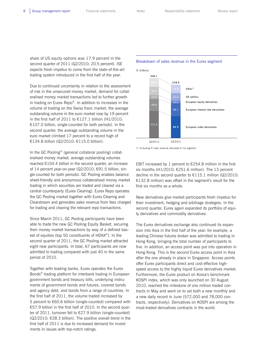share of US equity options was 17.9 percent in the second quarter of 2011 (Q2/2010: 20.5 percent). ISE expects fresh impetus to come from the state-of-the-art trading system introduced in the first half of the year.

Due to continued uncertainty in relation to the assessment of risk in the unsecured money market, demand for collateralised money market transactions led to further growth in trading on Eurex Repo®. In addition to increases in the volume of trading on the Swiss franc market, the average outstanding volume in the euro market rose by 19 percent in the first half of 2011 to €127.1 billion (H1/2010: €107.0 billion, single-counted for both periods). In the second quarter, the average outstanding volume in the euro market climbed 17 percent to a record high of €134.8 billion (Q2/2010: €115.0 billion).

In the GC Pooling® (general collateral pooling) collateralised money market, average outstanding volumes reached €104.4 billion in the second quarter, an increase of 14 percent year-on-year (Q2/2010: €91.5 billion, single-counted for both periods). GC Pooling enables balance sheet-friendly and anonymous collateralised money market trading in which securities are traded and cleared via a central counterparty (Eurex Clearing). Eurex Repo operates the GC Pooling market together with Eurex Clearing and Clearstream and generates sales revenue from fees charged for trading and clearing the relevant repo transactions.

Since March 2011, GC Pooling participants have been able to trade the new GC Pooling Equity Basket, securing their money market transactions by way of a defined basket of equities (top 50 constituents of HDAX®). In the second quarter of 2011, the GC Pooling market attracted eight new participants. In total, 67 participants are now admitted to trading compared with just 40 in the same period of 2010.

Together with leading banks, Eurex operates the Eurex Bonds® trading platform for interbank trading in European government bonds and treasury bills, underlying instruments of government bonds and futures, covered bonds and agency debt, and bonds from a range of countries. In the first half of 2011, the volume traded increased by 5 percent to €60.6 billion (single-counted) compared with €57.9 billion in the first half of 2010. In the second quarter of 2011, turnover fell to €27.9 billion (single-counted)  $(Q2/2010: \text{E28.3}$  billion). The positive overall trend in the first half of 2011 is due to increased demand for investments in issues with top-notch ratings.

#### Breakdown of sales revenue in the Eurex segment



1) Including IT sales revenue allocated to the segment

EBIT increased by 1 percent to €254.8 million in the first six months (H1/2010: €251.6 million). The 13 percent decline in the second quarter to  $E115.1$  million (Q2/2010: €132.8 million) was offset in the segment's result for the first six months as a whole.

New derivatives give market participants fresh impetus for their investment, hedging and arbitrage strategies. In the second quarter, Eurex again expanded its portfolio of equity derivatives and commodity derivatives.

The Eurex derivatives exchange also continued its expansion into Asia in the first half of the year: for example, a leading Chinese futures broker was admitted to trading in Hong Kong, bringing the total number of participants to five. In addition, an access point was put into operation in Hong Kong. This is the second Eurex access point in Asia after the one already in place in Singapore. Access points offer Eurex participants direct and cost-effective highspeed access to the highly liquid Eurex derivatives market. Furthermore, the Eurex product on Korea's benchmark KOSPI index, which was only launched on 30 August 2010, reached the milestone of one million traded contracts in May and went on to set both a new monthly and a new daily record in June (572,000 and 78,000 contracts, respectively). Derivatives on KOSPI are among the most-traded derivatives contracts in the world.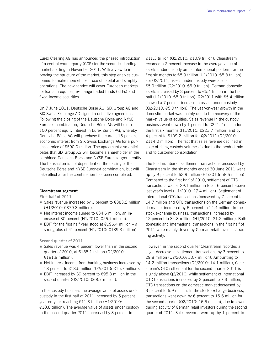Eurex Clearing AG has announced the phased introduction of a central counterparty (CCP) for the securities lending market starting in November 2011. With a view to improving the structure of the market, this step enables customers to make more efficient use of capital and simplify operations. The new service will cover European markets for loans in equities, exchange-traded funds (ETFs) and fixed-income securities.

On 7 June 2011, Deutsche Börse AG, SIX Group AG and SIX Swiss Exchange AG signed a definitive agreement. Following the closing of the Deutsche Börse and NYSE Euronext combination, Deutsche Börse AG will hold a 100 percent equity interest in Eurex Zürich AG, whereby Deutsche Börse AG will purchase the current 15 percent economic interest from SIX Swiss Exchange AG for a purchase price of €590.0 million. The agreement also anticipates that SIX Group AG will become a shareholder in the combined Deutsche Börse and NYSE Euronext group entity. The transaction is not dependent on the closing of the Deutsche Börse and NYSE Euronext combination, but will take effect after the combination has been completed.

#### **Clearstream segment**

**First half of 2011** 

- Sales revenue increased by 1 percent to  $\epsilon$ 383.2 million (H1/2010: €379.8 million).
- Net interest income surged to  $634.6$  million, an increase of 30 percent (H1/2010: €26.7 million).
- EBIT for the first half year stood at  $€196.4$  million a strong plus of 41 percent (H1/2010: €139.3 million).

**Second quarter of 2011** 

- Sales revenue was 4 percent lower than in the second quarter of 2010, at €185.1 million (Q2/2010: €191.9 million).
- Net interest income from banking business increased by 18 percent to €18.5 million (Q2/2010: €15.7 million).
- EBIT increased by 39 percent to €95.8 million in the second quarter (Q2/2010: €68.7 million).

In the custody business the average value of assets under custody in the first half of 2011 increased by 5 percent year-on-year, reaching €11.3 trillion (H1/2010: €10.8 trillion). The average value of assets under custody in the second quarter 2011 increased by 3 percent to

€11.3 trillion (Q2/2010: €10.9 trillion). Clearstream recorded a 2 percent increase in the average value of assets under custody on its international platform for the first six months to €5.9 trillion (H1/2010: €5.8 trillion). For Q2/2011, assets under custody were also at €5.9 trillion (Q2/2010: €5.9 trillion). German domestic assets increased by 8 percent to €5.4 trillion in the first half (H1/2010: €5.0 trillion). Q2/2011 with €5.4 trillion showed a 7 percent increase in assets under custody  $(Q2/2010: \text{£}5.0 \text{ trillion})$ . The year-on-year growth in the domestic market was mainly due to the recovery of the market value of equities. Sales revenue in the custody business went down by 1 percent to €221.2 million for the first six months (H1/2010: €223.7 million) and by 4 percent to €109.2 million for Q2/2011 (Q2/2010: €114.0 million). The fact that sales revenue declined in spite of rising custody volumes is due to the product mix and to customer consolidation.

The total number of settlement transactions processed by Clearstream in the six months ended 30 June 2011 went up by 9 percent to 63.9 million (H1/2010: 58.6 million). Compared to the first half of 2010, settlement of OTC transactions was at 29.1 million in total, 6 percent above last year's level (H1/2010: 27.4 million). Settlement of international OTC transactions increased by 7 percent to 14.7 million and OTC transactions on the German domestic market increased by 6 percent to 14.4 million. In the stock exchange business, transactions increased by 12 percent to 34.8 million (H1/2010: 31.2 million). Both domestic and international transactions in the first half of 2011 were mainly driven by German retail investors' trading activity.

However, in the second quarter Clearstream recorded a slight decrease in settlement transactions by 3 percent to 29.8 million (Q2/2010: 30.7 million). Amounting to 14.2 million transactions (Q2/2010: 14.1 million), Clearstream's OTC settlement for the second quarter 2011 is slightly above Q2/2010: while settlement of international OTC transactions increased by 3 percent to 7.3 million, OTC transactions on the domestic market decreased by 3 percent to 6.9 million. In the stock exchange business, transactions went down by 6 percent to 15.6 million for the second quarter (Q2/2010: 16.6 million), due to lower trading activity of German retail investors during the second quarter of 2011. Sales revenue went up by 1 percent to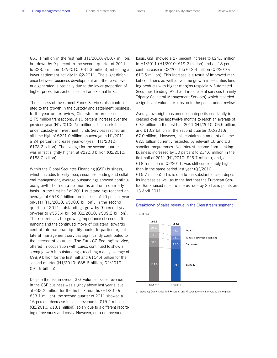€61.4 million in the first half (H1/2010: €60.7 million) but down by 9 percent in the second quarter of 2011, to €28.5 million (Q2/2010: €31.3 million), reflecting a lower settlement activity in Q2/2011. The slight difference between business development and the sales revenue generated is basically due to the lower proportion of higher-priced transactions settled on external links.

The success of Investment Funds Services also contributed to the growth in the custody and settlement business. In the year under review, Clearstream processed 2.75 million transactions, a 10 percent increase over the previous year (H1/2010: 2.5 million). The assets held under custody in Investment Funds Services reached an all-time high of  $E221.0$  billion on average in H1/2011, a 24 percent increase year-on-year (H1/2010: €178.2 billion). The average for the second quarter was in fact slightly higher, at €222.8 billion (Q2/2010: €188.0 billion).

Within the Global Securites Financing (GSF) business, which includes triparty repo, securities lending and collateral management, average outstandings showed continuous growth, both on a six-months and on a quarterly basis. In the first half of 2011 outstandings reached an average of €548.2 billion, an increase of 10 percent yearon-year (H1/2010: €500.0 billion). In the second quarter of 2011 outstandings grew by 9 percent yearon-year to €553.4 billion (Q2/2010: €509.2 billion). The rise reflects the growing importance of secured financing and the continued move of collateral towards central international liquidity pools. In particular, collateral management services significantly contributed to the increase of volumes. The Euro GC Pooling® service, offered in cooperation with Eurex, continued to show a strong growth in outstandings, reaching a daily average of €98.9 billion for the first half and €104.4 billion for the second quarter (H1/2010: €85.6 billion, Q2/2010: €91.5 billion).

Despite the rise in overall GSF volumes, sales revenue in the GSF business was slightly above last year's level at €33.2 million for the first six months (H1/2010: €33.1 million); the second quarter of 2011 showed a 16 percent decrease in sales revenue to €15.2 million (Q2/2010: €18.1 million), solely due to a different recording of revenues and costs. However, on a net revenue

basis, GSF showed a 27 percent increase to €24.3 million in H1/2011 (H1/2010: €19.2 million) and an 18 percent increase in Q2/2011 to €12.4 million (Q2/2010: €10.5 million). This increase is a result of improved market conditions as well as volume growth in securities lending products with higher margins (especially Automated Securities Lending, ASL) and in collateral services (mainly Triparty Collateral Management Services) which recorded a significant volume expansion in the period under review.

Average overnight customer cash deposits constantly increased over the last twelve months to reach an average of €9.2 billion in the first half 2011 (H1/2010: €6.5 billion) and  $£10.2$  billion in the second quarter (Q2/2010: €7.0 billion). However, this contains an amount of some €2.5 billion currently restricted by relevant EU and US sanction programmes. Net interest income from banking business increased by 30 percent to €34.6 million in the first half of 2011 (H1/2010: €26.7 million), and, at €18.5 million in Q2/2011, was still considerably higher than in the same period last year (Q2/2010: €15.7 million). This is due to the substantial cash deposits increase as well as to the fact that the European Central Bank raised its euro interest rate by 25 basis points on 13 April 2011.



1) Including Connectivity and Reporting and IT sales revenue allocated to the segment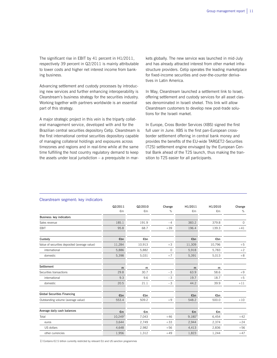The significant rise in EBIT by 41 percent in H1/2011, respectively 39 percent in Q2/2011 is mainly attributable to lower costs and higher net interest income from banking business.

Advancing settlement and custody processes by introducing new services and further enhancing interoperability is Clearstream's business strategy for the securities industry. Working together with partners worldwide is an essential part of this strategy.

A major strategic project in this vein is the triparty collateral management service, developed with and for the Brazilian central securities depository Cetip. Clearstream is the first international central securities depository capable of managing collateral holdings and exposures across timezones and regions and in real-time while at the same time fulfilling the host country regulatory demand to keep the assets under local jurisdiction – a prerequisite in mar-

kets globally. The new service was launched in mid-July and has already attracted interest from other market infrastructure providers. Cetip operates the leading marketplace for fixed-income securities and over-the-counter derivatives in Latin America.

In May, Clearstream launched a settlement link to Israel, offering settlement and custody services for all asset classes denominated in Israeli shekel. This link will allow Clearstream customers to develop new post-trade solutions for the Israeli market.

In Europe, Cross Border Services (XBS) signed the first full user in June. XBS is the first pan-European crossborder settlement offering in central bank money and provides the benefits of the EU-wide TARGET2-Securities (T2S) settlement engine envisaged by the European Central Bank ahead of the T2S launch, thus making the transition to T2S easier for all participants.

|                                               | Q2/2011             | Q2/2010 | Change  | H1/2011      | H1/2010      | Change  |
|-----------------------------------------------|---------------------|---------|---------|--------------|--------------|---------|
|                                               | €m                  | €m      | %       | €m           | $\epsilon$ m | $\%$    |
| Business: key indicators                      |                     |         |         |              |              |         |
| Sales revenue                                 | 185.1               | 191.9   | $-4$    | 383.2        | 379.8        | $\circ$ |
| EBIT                                          | 95.8                | 68.7    | $+39$   | 196.4        | 139.3        | $+41$   |
| Custody                                       | €bn                 | €bn     |         | €bn          | €bn          |         |
| Value of securities deposited (average value) | 11,284              | 10,913  | $+3$    | 11,309       | 10,796       | $+5$    |
| international                                 | 5,886               | 5,882   | $\circ$ | 5,918        | 5,783        | $+2$    |
| domestic                                      | 5,398               | 5,031   | $+7$    | 5,391        | 5,013        | $+8$    |
| Settlement                                    | m                   | m       |         | m            | m            |         |
| Securities transactions                       | 29.8                | 30.7    | $-3$    | 63.9         | 58.6         | $+9$    |
| international                                 | 9.3                 | 9.6     | $-3$    | 19.7         | 18.7         | $+5$    |
| domestic                                      | 20.5                | 21.1    | $-3$    | 44.2         | 39.9         | $+11$   |
| <b>Global Securities Financing</b>            | €bn                 | €bn     |         | €bn          | €bn          |         |
| Outstanding volume (average value)            | 553.4               | 509.2   | $+9$    | 548.2        | 500.0        | $+10$   |
| Average daily cash balances                   | €m                  | €m      |         | €m           | €m           |         |
| Total                                         | 10,249 <sup>1</sup> | 7,043   | $+46$   | $9,180^{11}$ | 6,454        | $+42$   |
| euros                                         | 3,644               | 2,749   | $+33$   | 2,944        | 2,374        | $+24$   |
| US dollars                                    | 4,648               | 2,982   | $+56$   | 4,413        | 2,836        | $+56$   |
| other currencies                              | 1,956               | 1,312   | $+49$   | 1,823        | 1,244        | $+47$   |

#### Clearstream segment: key indicators

1) Contains €2.5 billion currently restricted by relevant EU and US sanction programmes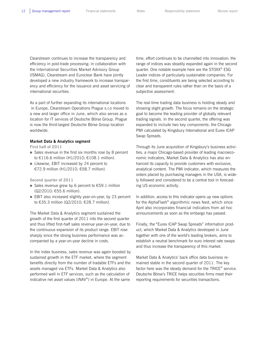Clearstream continues to increase the transparency and efficiency in post-trade processing: in collaboration with the International Securities Market Advisory Group (ISMAG), Clearstream and Euroclear Bank have jointly developed a new industry framework to increase transparency and efficiency for the issuance and asset servicing of international securities.

As a part of further expanding its international locations in Europe, Clearstream Operations Prague s.r.o moved to a new and larger office in June, which also serves as a location for IT services of Deutsche Börse Group. Prague is now the third-largest Deutsche Börse Group location worldwide.

#### **Market Data & Analytics segment**

**First half of 2011** 

- Sales revenue in the first six months rose by 8 percent to €116.6 million (H1/2010: €108.1 million).
- Likewise, EBIT increased by 24 percent to €72.9 million (H1/2010: €58.7 million).

#### **Second quarter of 2011**

- Sales revenue grew by 6 percent to  $\epsilon$ 59.1 million (Q2/2010: €55.6 million).
- EBIT also increased slightly year-on-year, by 23 percent to €35.3 million (Q2/2010: €28.7 million).

The Market Data & Analytics segment sustained the growth of the first quarter of 2011 into the second quarter and thus lifted first-half sales revenue year-on-year, due to the continuous expansion of its product range. EBIT rose sharply since the strong business performance was accompanied by a year-on-year decline in costs.

In the index business, sales revenue was again boosted by sustained growth in the ETF market, where the segment benefits directly from the number of tradable ETFs and the assets managed via ETFs. Market Data & Analytics also performed well in ETF services, such as the calculation of indicative net asset values (iNAV®) in Europe. At the same

time, effort continues to be channelled into innovation: the range of indices was steadily expanded again in the second quarter. One notable example here are the STOXX® ESG Leader indices of particularly sustainable companies. For the first time, constituents are being selected according to clear and transparent rules rather than on the basis of a subjective assessment.

The real-time trading data business is holding steady and showing slight growth. The focus remains on the strategic goal to become the leading provider of globally relevant trading signals. In the second quarter, the offering was expanded to include two key components: the Chicago PMI calculated by Kingsbury International and Eurex ICAP Swap Spreads.

Through its June acquisition of Kingsbury's business activities, a major Chicago-based provider of leading macroeconomic indicators, Market Data & Analytics has also enhanced its capacity to provide customers with exclusive, analytical content. The PMI indicator, which measures the orders placed by purchasing managers in the USA, is widely followed and considered to be a central tool in forecasting US economic activity.

In addition, access to this indicator opens up new options for the AlphaFlash® algorithmic news feed, which since April also incorporates financial indicators from ad hoc announcements as soon as the embargo has passed.

Finally, the "Eurex ICAP Swap Spreads" information product, which Market Data & Analytics developed in June together with one of the world's leading brokers, aims to establish a neutral benchmark for euro interest rate swaps and thus increase the transparency of this market.

Market Data & Analytics' back office data business remained stable in the second quarter of 2011. The key factor here was the steady demand for the TRICE® service. Deutsche Börse's TRICE helps securities firms meet their reporting requirements for securities transactions.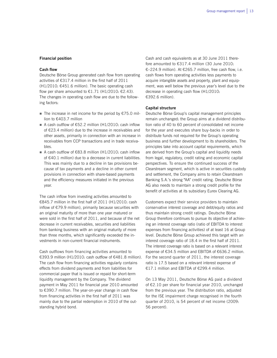#### **Financial position**

#### **Cash flow**

Deutsche Börse Group generated cash flow from operating activities of €317.4 million in the first half of 2011  $(H1/2010: €451.6$  million). The basic operating cash flow per share amounted to  $\epsilon$ 1.71 (H1/2010:  $\epsilon$ 2.43). The changes in operating cash flow are due to the following factors:

- The increase in net income for the period by  $E$ 75.0 million to €403.7 million
- A cash outflow of  $€52.2$  million (H1/2010: cash inflow of €23.4 million) due to the increase in receivables and other assets, primarily in connection with an increase in receivables from CCP transactions and in trade receivables.
- A cash outflow of €83.8 million (H1/2010: cash inflow of €40.1 million) due to a decrease in current liabilities. This was mainly due to a decline in tax provisions because of tax payments and a decline in other current provisions in connection with share-based payments and the efficiency measures initiated in the previous year.

The cash inflow from investing activities amounted to €845.7 million in the first half of 2011 (H1/2010: cash inflow of €79.9 million), primarily because securities with an original maturity of more than one year matured or were sold in the first half of 2011, and because of the net decrease in current receivables, securities and liabilities from banking business with an original maturity of more than three months, which significantly exceeded the investments in non-current financial instruments.

Cash outflows from financing activities amounted to €393.9 million (H1/2010: cash outflow of €481.8 million). The cash flow from financing activities regularly contains effects from dividend payments and from liabilities for commercial paper that is issued or repaid for short-term liquidity management by the Company. The dividend payment in May 2011 for financial year 2010 amounted to €390.7 million. The year-on-year change in cash flow from financing activities in the first half of 2011 was mainly due to the partial redemption in 2010 of the outstanding hybrid bond.

Cash and cash equivalents as at 30 June 2011 therefore amounted to €317.4 million (30 June 2010: €–224.9 million). At €265.7 million, free cash flow, i.e. cash flows from operating activities less payments to acquire intangible assets and property, plant and equipment, was well below the previous year's level due to the decrease in operating cash flow (H1/2010: €392.6 million).

#### **Capital structure**

Deutsche Börse Group's capital management principles remain unchanged: the Group aims at a dividend distribution ratio of 40 to 60 percent of consolidated net income for the year and executes share buy-backs in order to distribute funds not required for the Group's operating business and further development to its shareholders. The principles take into account capital requirements, which are derived from the Group's capital and liquidity needs from legal, regulatory, credit rating and economic capital perspectives. To ensure the continued success of the Clearstream segment, which is active in securities custody and settlement, the Company aims to retain Clearstream Banking S.A.'s strong "AA" credit rating. Deutsche Börse AG also needs to maintain a strong credit profile for the benefit of activities at its subsidiary Eurex Clearing AG.

Customers expect their service providers to maintain conservative interest coverage and debt/equity ratios and thus maintain strong credit ratings. Deutsche Börse Group therefore continues to pursue its objective of achieving an interest coverage ratio (ratio of EBITDA to interest expenses from financing activities) of at least 16 at Group level. Deutsche Börse Group achieved this target with an interest coverage ratio of 18.4 in the first half of 2011. The interest coverage ratio is based on a relevant interest expense of €34.5 million and EBITDA of €636.2 million. For the second quarter of 2011, the interest coverage ratio is 17.5 based on a relevant interest expense of €17.1 million and EBITDA of €299.4 million.

On 13 May 2011, Deutsche Börse AG paid a dividend of €2.10 per share for financial year 2010, unchanged from the previous year. The distribution ratio, adjusted for the ISE impairment charge recognised in the fourth quarter of 2010, is 54 percent of net income (2009: 56 percent).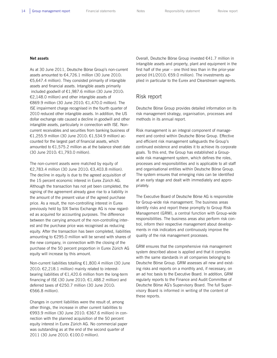#### **Net assets**

As at 30 June 2011, Deutsche Börse Group's non-current assets amounted to €4,726.1 million (30 June 2010: €5,647.4 million). They consisted primarily of intangible assets and financial assets. Intangible assets primarily included goodwill of €1,987.6 million (30 June 2010: €2,148.0 million) and other intangible assets of €869.9 million (30 June 2010: €1,470.0 million). The ISE impairment charge recognised in the fourth quarter of 2010 reduced other intangible assets. In addition, the US dollar exchange rate caused a decline in goodwill and other intangible assets, particularly in connection with ISE. Noncurrent receivables and securities from banking business of €1,255.9 million (30 June 2010: €1,534.9 million) accounted for the largest part of financial assets, which amounted to  $\epsilon$ 1,575.2 million as at the balance sheet date (30 June 2010: €1,793.0 million).

The non-current assets were matched by equity of €2,783.4 million (30 June 2010: €3,403.8 million). The decline in equity is due to the agreed acquisition of the 15 percent economic interest in Eurex Zürich AG. Although the transaction has not yet been completed, the signing of the agreement already gave rise to a liability in the amount of the present value of the agreed purchase price. As a result, the non-controlling interest in Eurex previously held by SIX Swiss Exchange AG is now regarded as acquired for accounting purposes. The difference between the carrying amount of the non-controlling interest and the purchase price was recognised as reducing equity. After the transaction has been completed, liabilities amounting to €295.0 million will be served with shares of the new company, in connection with the closing of the purchase of the 50 percent proportion in Eurex Zürich AG equity will increase by this amount.

Non-current liabilities totalling €1,800.4 million (30 June 2010: €2,218.1 million) mainly related to interestbearing liabilities of  $E1,420.6$  million from the long-term financing of ISE (30 June 2010:  $£1,488.2$  million) and deferred taxes of €250.7 million (30 June 2010: €566.8 million).

Changes in current liabilities were the result of, among other things, the increase in other current liabilities to €993.9 million (30 June 2010: €367.6 million) in connection with the planned acquisition of the 50 percent equity interest in Eurex Zürich AG. No commercial paper was outstanding as at the end of the second quarter of 2011 (30 June 2010: €100.0 million).

Overall, Deutsche Börse Group invested €41.7 million in intangible assets and property, plant and equipment in the first half of the year – one third less than in the prior-year period (H1/2010: €59.0 million). The investments applied in particular to the Eurex and Clearstream segments.

### Risk report

Deutsche Börse Group provides detailed information on its risk management strategy, organisation, processes and methods in its annual report.

Risk management is an integral component of management and control within Deutsche Börse Group. Effective and efficient risk management safeguards the Group's continued existence and enables it to achieve its corporate goals. To this end, the Group has established a Groupwide risk management system, which defines the roles, processes and responsibilities and is applicable to all staff and organisational entities within Deutsche Börse Group. The system ensures that emerging risks can be identified at an early stage and dealt with immediately and appropriately.

The Executive Board of Deutsche Börse AG is responsible for Group-wide risk management. The business areas identify risks and report these promptly to Group Risk Management (GRM), a central function with Group-wide responsibilities. The business areas also perform risk control, inform their respective management about developments in risk indicators and continuously improve the quality of the risk management processes.

GRM ensures that the comprehensive risk management system described above is applied and that it complies with the same standards in all companies belonging to Deutsche Börse Group. GRM assesses all new and existing risks and reports on a monthly and, if necessary, on an ad hoc basis to the Executive Board. In addition, GRM regularly reports to the Finance and Audit Committee of Deutsche Börse AG's Supervisory Board. The full Supervisory Board is informed in writing of the content of these reports.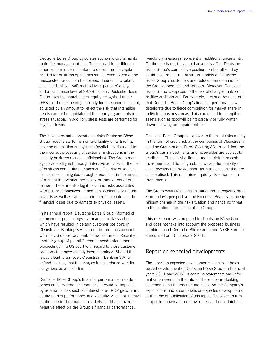Deutsche Börse Group calculates economic capital as its main risk management tool. This is used in addition to other performance indicators to determine the capital needed for business operations so that even extreme and unexpected losses can be covered. Economic capital is calculated using a VaR method for a period of one year and a confidence level of 99.98 percent. Deutsche Börse Group uses the shareholders' equity recognised under IFRSs as the risk bearing capacity for its economic capital, adjusted by an amount to reflect the risk that intangible assets cannot be liquidated at their carrying amounts in a stress situation. In addition, stress tests are performed for key risk drivers.

The most substantial operational risks Deutsche Börse Group faces relate to the non-availability of its trading, clearing and settlement systems (availability risk) and to the incorrect processing of customer instructions in the custody business (service deficiencies). The Group manages availability risk through intensive activities in the field of business continuity management. The risk of service deficiencies is mitigated through a reduction in the amount of manual intervention necessary or through better protection. There are also legal risks and risks associated with business practices. In addition, accidents or natural hazards as well as sabotage and terrorism could lead to financial losses due to damage to physical assets.

In its annual report, Deutsche Börse Group informed of enforcement proceedings by means of a class action which have resulted in certain customer positions in Clearstream Banking S.A.'s securities omnibus account with its US depository bank being restrained. Recently, another group of plaintiffs commenced enforcement proceedings in a US court with regard to those customer positions that have already been restrained. Should the lawsuit lead to turnover, Clearstream Banking S.A. will defend itself against the charges in accordance with its obligations as a custodian.

Deutsche Börse Group's financial performance also depends on its external environment. It could be impacted by external factors such as interest rates, GDP growth and equity market performance and volatility. A lack of investor confidence in the financial markets could also have a negative effect on the Group's financial performance.

Regulatory measures represent an additional uncertainty. On the one hand, they could adversely affect Deutsche Börse Group's competitive position; on the other, they could also impact the business models of Deutsche Börse Group's customers and reduce their demand for the Group's products and services. Moreover, Deutsche Börse Group is exposed to the risk of changes in its competitive environment. For example, it cannot be ruled out that Deutsche Börse Group's financial performance will deteriorate due to fierce competition for market share in individual business areas. This could lead to intangible assets such as goodwill being partially or fully written down following an impairment test.

Deutsche Börse Group is exposed to financial risks mainly in the form of credit risk at the companies of Clearstream Holding Group and at Eurex Clearing AG. In addition, the Group's cash investments and receivables are subject to credit risk. There is also limited market risk from cash investments and liquidity risk. However, the majority of cash investments involve short-term transactions that are collateralised. This minimises liquidity risks from such investments.

The Group evaluates its risk situation on an ongoing basis. From today's perspective, the Executive Board sees no significant change in the risk situation and hence no threat to the continued existence of the Group.

This risk report was prepared for Deutsche Börse Group and does not take into account the proposed business combination of Deutsche Börse Group and NYSE Euronext announced on 15 February 2011.

## Report on expected developments

The report on expected developments describes the expected development of Deutsche Börse Group in financial years 2011 and 2012. It contains statements and information on events in the future. These forward-looking statements and information are based on the Company's expectations and assumptions on expected developments at the time of publication of this report. These are in turn subject to known and unknown risks and uncertainties.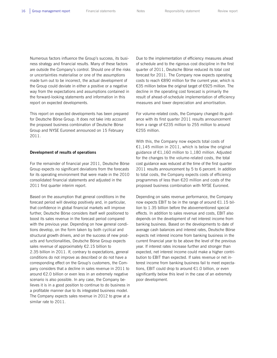Numerous factors influence the Group's success, its business strategy and financial results. Many of these factors are outside the Company's control. Should one of the risks or uncertainties materialise or one of the assumptions made turn out to be incorrect, the actual development of the Group could deviate in either a positive or a negative way from the expectations and assumptions contained in the forward-looking statements and information in this report on expected developments.

This report on expected developments has been prepared for Deutsche Börse Group. It does not take into account the proposed business combination of Deutsche Börse Group and NYSE Euronext announced on 15 February 2011.

#### **Development of results of operations**

For the remainder of financial year 2011, Deutsche Börse Group expects no significant deviations from the forecasts for its operating environment that were made in the 2010 consolidated financial statements and adjusted in the 2011 first quarter interim report.

Based on the assumption that general conditions in the forecast period will develop positively and, in particular, that confidence in global financial markets will improve further, Deutsche Börse considers itself well positioned to boost its sales revenue in the forecast period compared with the previous year. Depending on how general conditions develop, on the form taken by both cyclical and structural growth drivers, and on the success of new products and functionalities, Deutsche Börse Group expects sales revenue of approximately €2.15 billion to 2.35 billion in 2011. If, contrary to expectations, general conditions do not improve as described or do not have a corresponding effect on the Group's customers, the Company considers that a decline in sales revenue in 2011 to around €2.0 billion or even less in an extremely negative scenario is also possible. In any case, the Company believes it is in a good position to continue to do business in a profitable manner due to its integrated business model. The Company expects sales revenue in 2012 to grow at a similar rate to 2011.

Due to the implementation of efficiency measures ahead of schedule and to the rigorous cost discipline in the first quarter of 2011, Deutsche Börse reduced its total cost forecast for 2011. The Company now expects operating costs to reach €890 million for the current year, which is €35 million below the original target of €925 million. The decline in the operating cost forecast is primarily the result of ahead-of-schedule implementation of efficiency measures and lower depreciation and amortisation.

For volume-related costs, the Company changed its guidance with its first quarter 2011 results announcement from a range of €235 million to 255 million to around €255 million.

With this, the Company now expects total costs of €1,145 million in 2011, which is below the original guidance of  $E1,160$  million to 1,180 million. Adjusted for the changes to the volume-related costs, the total cost guidance was reduced at the time of the first quarter 2011 results announcement by 5 to 6 percent. In addition to total costs, the Company expects costs of efficiency programmes of less than €20 million and costs of the proposed business combination with NYSE Euronext.

Depending on sales revenue performance, the Company now expects EBIT to be in the range of around €1.15 billion to 1.35 billion before the abovementioned special effects. In addition to sales revenue and costs, EBIT also depends on the development of net interest income from banking business. Based on the developments to date of average cash balances and interest rates, Deutsche Börse expects net interest income from banking business in the current financial year to be above the level of the previous year. If interest rates increase further and stronger than expected, net interest income could make a higher contribution to EBIT than expected. If sales revenue or net interest income from banking business fail to meet expectations, EBIT could drop to around €1.0 billion, or even significantly below this level in the case of an extremely poor development.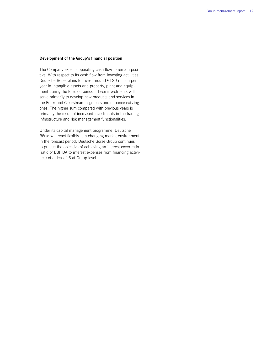#### **Development of the Group's financial position**

The Company expects operating cash flow to remain positive. With respect to its cash flow from investing activities, Deutsche Börse plans to invest around €120 million per year in intangible assets and property, plant and equipment during the forecast period. These investments will serve primarily to develop new products and services in the Eurex and Clearstream segments and enhance existing ones. The higher sum compared with previous years is primarily the result of increased investments in the trading infrastructure and risk management functionalities.

Under its capital management programme, Deutsche Börse will react flexibly to a changing market environment in the forecast period. Deutsche Börse Group continues to pursue the objective of achieving an interest cover ratio (ratio of EBITDA to interest expenses from financing activities) of at least 16 at Group level.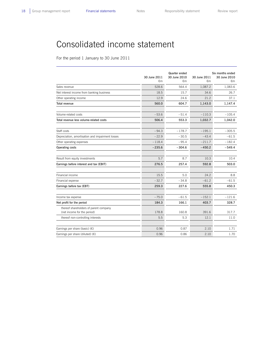# Consolidated income statement

For the period 1 January to 30 June 2011

|                                                                       | 30 June 2011<br>€m | Quarter ended<br>30 June 2010<br>€m | 30 June 2011<br>€m | Six months ended<br>30 June 2010<br>€m |
|-----------------------------------------------------------------------|--------------------|-------------------------------------|--------------------|----------------------------------------|
| Sales revenue                                                         | 528.6              | 564.4                               | 1,087.2            | 1,083.6                                |
| Net interest income from banking business                             | 18.5               | 15.7                                | 34.6               | 26.7                                   |
| Other operating income                                                | 12.9               | 24.6                                | 21.2               | 37.1                                   |
| Total revenue                                                         | 560.0              | 604.7                               | 1,143.0            | 1,147.4                                |
| Volume-related costs                                                  | $-53.6$            | $-51.4$                             | $-110.3$           | $-105.4$                               |
| Total revenue less volume-related costs                               | 506.4              | 553.3                               | 1,032.7            | 1,042.0                                |
| Staff costs                                                           | $-94.3$            | $-178.7$                            | $-195.1$           | $-305.5$                               |
| Depreciation, amortisation and impairment losses                      | $-22.9$            | $-30.5$                             | $-43.4$            | $-61.5$                                |
| Other operating expenses                                              | $-118.4$           | $-95.4$                             | $-211.7$           | $-182.4$                               |
| Operating costs                                                       | $-235.6$           | $-304.6$                            | $-450.2$           | $-549.4$                               |
|                                                                       |                    |                                     |                    |                                        |
| Result from equity investments                                        | 5.7                | 8.7                                 | 10.3               | 10.4                                   |
| Earnings before interest and tax (EBIT)                               | 276.5              | 257.4                               | 592.8              | 503.0                                  |
| Financial income                                                      | 15.5               | 5.0                                 | 24.2               | 8.8                                    |
| Financial expense                                                     | $-32.7$            | $-34.8$                             | $-61.2$            | $-61.5$                                |
| Earnings before tax (EBT)                                             | 259.3              | 227.6                               | 555.8              | 450.3                                  |
| Income tax expense                                                    | $-75.0$            | $-61.5$                             | $-152.1$           | $-121.6$                               |
| Net profit for the period                                             | 184.3              | 166.1                               | 403.7              | 328.7                                  |
| thereof shareholders of parent company<br>(net income for the period) | 178.8              | 160.8                               | 391.6              | 317.7                                  |
| thereof non-controlling interests                                     | 5.5                | 5.3                                 | 12.1               | 11.0                                   |
| Earnings per share (basic) $(\epsilon)$                               | 0.96               | 0.87                                | 2.10               | 1.71                                   |
| Earnings per share (diluted) $(E)$                                    | 0.96               | 0.86                                | 2.10               | 1.70                                   |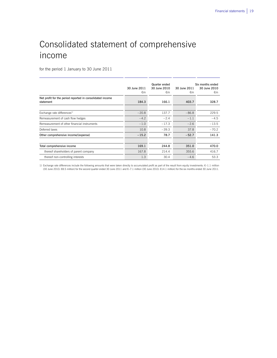# Consolidated statement of comprehensive income

for the period 1 January to 30 June 2011

|                                                                        | 30 June 2011<br>€m | Quarter ended<br>30 June 2010<br>€m | 30 June 2011<br>€m | Six months ended<br>30 June 2010<br>€m |
|------------------------------------------------------------------------|--------------------|-------------------------------------|--------------------|----------------------------------------|
| Net profit for the period reported in consolidated income<br>statement | 184.3              | 166.1                               | 403.7              | 328.7                                  |
|                                                                        |                    |                                     |                    |                                        |
| Exchange rate differences <sup>1)</sup>                                | $-20.8$            | 137.7                               | $-86.8$            | 229.5                                  |
| Remeasurement of cash flow hedges                                      | $-4.2$             | $-2.4$                              | $-1.1$             | $-4.5$                                 |
| Remeasurement of other financial instruments                           | $-1.0$             | $-17.3$                             | $-2.6$             | $-13.5$                                |
| Deferred taxes                                                         | 10.8               | $-39.3$                             | 37.8               | $-70.2$                                |
| Other comprehensive income/(expense)                                   | $-15.2$            | 78.7                                | $-52.7$            | 141.3                                  |
|                                                                        |                    |                                     |                    |                                        |
| Total comprehensive income                                             | 169.1              | 244.8                               | 351.0              | 470.0                                  |
| thereof shareholders of parent company                                 | 167.8              | 214.4                               | 355.6              | 416.7                                  |
| thereof non-controlling interests                                      | 1.3                | 30.4                                | $-4.6$             | 53.3                                   |

1) Exchange rate differences include the following amounts that were taken directly to accumulated profit as part of the result from equity investments: €–1.1 million (30 June 2010: €8.5 million) for the second quarter ended 30 June 2011 and €–7.1 million (30 June 2010: €14.1 million) for the six months ended 30 June 2011.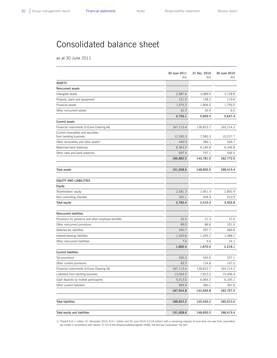# Consolidated balance sheet

as at 30 June 2011

|                                                             | 30 June 2011<br>€m | 31 Dec. 2010<br>€m | 30 June 2010<br>€m |
|-------------------------------------------------------------|--------------------|--------------------|--------------------|
| ASSETS                                                      |                    |                    |                    |
| <b>Noncurrent assets</b>                                    |                    |                    |                    |
| Intangible assets                                           | 2,987.6            | 3,089.9            | 3,728.8            |
| Property, plant and equipment                               | 121.0              | 138.2              | 119.6              |
| Financial assets                                            | 1,575.2            | 1,806.0            | 1,793.0            |
| Other noncurrent assets                                     | 42.3               | 35.4               | 6.0                |
|                                                             | 4,726.1            | 5,069.5            | 5,647.4            |
| <b>Current assets</b>                                       |                    |                    |                    |
| Financial instruments of Eurex Clearing AG                  | 167,115.4          | 128,823.7          | 165,214.3          |
| Current receivables and securities<br>from banking business | 12,265.3           | 7,585.3            | 10,227.7           |
| Other receivables and other assets <sup>1)</sup>            | 440.9              | 389.1              | 436.7              |
| Restricted bank balances                                    | 6,363.5            | 6,185.8            | 6,346.8            |
| Other cash and bank balances                                | 697.4              | 797.1              | 546.5              |
|                                                             | 186,882.5          | 143,781.0          | 182,772.0          |
| Total assets                                                | 191,608.6          | 148,850.5          | 188,419.4          |
| <b>EQUITY AND LIABILITIES</b>                               |                    |                    |                    |
| Equity                                                      |                    |                    |                    |
| Shareholders' equity                                        | 2,581.3            | 2,951.4            | 2,892.9            |
| Non-controlling interests                                   | 202.1              | 458.9              | 510.9              |
| Total equity                                                | 2,783.4            | 3,410.3            | 3,403.8            |
| Noncurrent liabilities                                      |                    |                    |                    |
| Provisions for pensions and other employee benefits         | 32.5               | 21.3               | 37.6               |
| Other noncurrent provisions                                 | 89.0               | 86.6               | 101.4              |
| Deferred tax liabilities                                    | 250.7              | 297.7              | 566.8              |
| Interest-bearing liabilities                                | 1,420.6            | 1,455.2            | 1,488.2            |
| Other noncurrent liabilities                                | 7.6                | 9.6                | 24.1               |
|                                                             | 1,800.4            | 1,870.4            | 2,218.1            |
| <b>Current liabilities</b>                                  |                    |                    |                    |
| Tax provisions                                              | 265.3              | 345.0              | 327.1              |
| Other current provisions                                    | 83.2               | 134.8              | 147.0              |
| Financial instruments of Eurex Clearing AG                  | 167,115.4          | 128,823.7          | 165,214.3          |
| Liabilities from banking business                           | 13,554.0           | 7,822.0            | 10,406.4           |
| Cash deposits by market participants                        | 5,013.0            | 6,064.2            | 6,335.1            |
| Other current liabilities                                   | 993.9              | 380.1              | 367.6              |
|                                                             | 187,024.8          | 143,569.8          | 182,797.5          |
| <b>Total liabilities</b>                                    | 188,825.2          | 145,440.2          | 185,015.6          |
| Total equity and liabilities                                | 191,608.6          | 148,850.5          | 188,419.4          |

1) Thereof €14.1 million (31 December 2010: €14.1 million and 30 June 2010: €14.8 million) with a remaining maturity of more than one year from corporation tax credits in accordance with section 37 (5) of the Körperschaftsteuergesetz (KStG, the German Corporation Tax Act)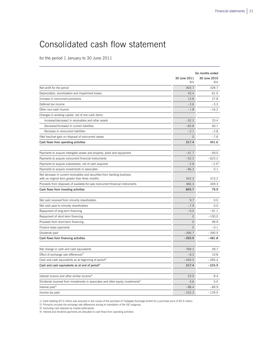# Consolidated cash flow statement

for the period 1 January to 30 June 2011

|                                                                                              | Six months ended |              |  |
|----------------------------------------------------------------------------------------------|------------------|--------------|--|
|                                                                                              | 30 June 2011     | 30 June 2010 |  |
|                                                                                              | €m               | €m           |  |
| Net profit for the period                                                                    | 403.7            | 328.7        |  |
| Depreciation, amortisation and impairment losses                                             | 43.4             | 61.5         |  |
| Increase in noncurrent provisions                                                            | 13.8             | 27.8         |  |
| Deferred tax income                                                                          | $-3.6$           | $-3.3$       |  |
| Other non-cash income                                                                        | $-1.8$           | $-16.2$      |  |
| Changes in working capital, net of non-cash items:                                           |                  |              |  |
| Increase/(decrease) in receivables and other assets                                          | $-52.2$          | 23.4         |  |
| Decrease/(increase) in current liabilities                                                   | $-83.8$          | 40.1         |  |
| Decrease in noncurrent liabilities                                                           | $-2.1$           | $-2.8$       |  |
| (Net loss)/net gain on disposal of noncurrent assets                                         | $\circ$          | $-7.6$       |  |
| Cash flows from operating activities                                                         | 317.4            | 451.6        |  |
| Payments to acquire intangible assets and property, plant and equipment                      | $-41.7$          | $-59.0$      |  |
| Payments to acquire noncurrent financial instruments                                         | $-52.3$          | $-623.2$     |  |
| Payments to acquire subsidiaries, net of cash acquired                                       | $-2.8$           | $-2.5^{11}$  |  |
| Payments to acquire investments in associates                                                | $-66.2$          | 0.1          |  |
| Net decrease in current receivables and securities from banking business                     |                  |              |  |
| with an original term greater than three months                                              | 542.3            | 415.2        |  |
| Proceeds from disposals of available-for-sale noncurrent financial instruments               | 466.4            | 349.3        |  |
| Cash flows from investing activities                                                         | 845.7            | 79.9         |  |
| Net cash received from minority shareholders                                                 | 9.7              | 0.0          |  |
| Net cash paid to minority shareholders                                                       | $-7.9$           | 0.0          |  |
| Repayment of long-term financing                                                             | $-5.0$           | $-91.1$      |  |
| Repayment of short-term financing                                                            | $\overline{0}$   | $-100.0$     |  |
| Proceeds from short-term financing                                                           | $\overline{0}$   | 99.9         |  |
| Finance lease payments                                                                       | $\circ$          | $-0.1$       |  |
| Dividends paid                                                                               | $-390.7$         | $-390.5$     |  |
| Cash flows from financing activities                                                         | $-393.9$         | $-481.8$     |  |
|                                                                                              |                  |              |  |
| Net change in cash and cash equivalents                                                      | 769.2            | 49.7         |  |
| Effect of exchange rate differences <sup>2)</sup>                                            | $-6.3$           | 10.8         |  |
| Cash and cash equivalents as at beginning of period <sup>3)</sup>                            | $-445.5$         | $-285.4$     |  |
| Cash and cash equivalents as at end of period <sup>3)</sup>                                  | 317.4            | $-224.9$     |  |
| Interest income and other similar income <sup>4)</sup>                                       | 23.0             | 8.4          |  |
| Dividends received from investments in associates and other equity investments <sup>4)</sup> | 4.6              | 5.0          |  |
| Interest paid <sup>4)</sup>                                                                  | $-88.4$          | $-89.9$      |  |
| Income tax paid                                                                              | $-233.3$         | $-129.5$     |  |
|                                                                                              |                  |              |  |

1) Cash totalling €0.5 million was acquired in the course of the purchase of Tradegate Exchange GmbH for a purchase price of €0.4 million.<br>2) Primarily includes the exchange rate differences arising on translation of the

3) Excluding cash deposits by market participants 4) Interest and dividend payments are allocated to cash flows from operating activities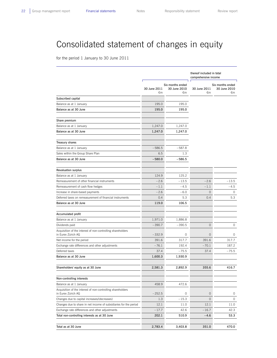# Consolidated statement of changes in equity

for the period 1 January to 30 June 2011

|                                                                                   |                    |                                        | thereof included in total<br>comprehensive income |                                        |  |
|-----------------------------------------------------------------------------------|--------------------|----------------------------------------|---------------------------------------------------|----------------------------------------|--|
|                                                                                   | 30 June 2011<br>€m | Six months ended<br>30 June 2010<br>€m | 30 June 2011<br>€m                                | Six months ended<br>30 June 2010<br>€m |  |
| Subscribed capital                                                                |                    |                                        |                                                   |                                        |  |
| Balance as at 1 January                                                           | 195.0              | 195.0                                  |                                                   |                                        |  |
| Balance as at 30 June                                                             | 195.0              | 195.0                                  |                                                   |                                        |  |
| Share premium                                                                     |                    |                                        |                                                   |                                        |  |
| Balance as at 1 January                                                           | 1,247.0            | 1,247.0                                |                                                   |                                        |  |
| Balance as at 30 June                                                             | 1,247.0            | 1,247.0                                |                                                   |                                        |  |
| Treasury shares                                                                   |                    |                                        |                                                   |                                        |  |
| Balance as at 1 January                                                           | $-586.5$           | $-587.8$                               |                                                   |                                        |  |
| Sales within the Group Share Plan                                                 | 6.5                | 1.3                                    |                                                   |                                        |  |
| Balance as at 30 June                                                             | $-580.0$           | $-586.5$                               |                                                   |                                        |  |
| <b>Revaluation surplus</b>                                                        |                    |                                        |                                                   |                                        |  |
| Balance as at 1 January                                                           | 124.9              | 125.2                                  |                                                   |                                        |  |
| Remeasurement of other financial instruments                                      | $-2.6$             | $-13.5$                                | $-2.6$                                            | $-13.5$                                |  |
| Remeasurement of cash flow hedges                                                 | $-1.1$             | $-4.5$                                 | $-1.1$                                            | $-4.5$                                 |  |
| Increase in share-based payments                                                  | $-2.6$             | $-6.0$                                 | $\mathsf{O}\xspace$                               | 0                                      |  |
| Deferred taxes on remeasurement of financial instruments                          | 0.4                | 5.3                                    | 0.4                                               | 5.3                                    |  |
| Balance as at 30 June                                                             | 119.0              | 106.5                                  |                                                   |                                        |  |
| Accumulated profit                                                                |                    |                                        |                                                   |                                        |  |
| Balance as at 1 January                                                           | 1,971.0            | 1,886.8                                |                                                   |                                        |  |
| Dividends paid                                                                    | $-390.7$           | $-390.5$                               | $\circ$                                           | 0                                      |  |
| Acquisition of the interest of non-controlling shareholders<br>in Eurex Zürich AG | $-332.9$           | 0                                      | $\mathbf 0$                                       | 0                                      |  |
| Net income for the period                                                         | 391.6              | 317.7                                  | 391.6                                             | 317.7                                  |  |
| Exchange rate differences and other adjustments                                   | $-76.1$            | 192.4                                  | $-70.1$                                           | 187.2                                  |  |
| Deferred taxes                                                                    | 37.4               | $-75.5$                                | 37.4                                              | $-75.5$                                |  |
| Balance as at 30 June                                                             | 1,600.3            | 1,930.9                                |                                                   |                                        |  |
| Shareholders' equity as at 30 June                                                | 2,581.3            | 2,892.9                                | 355.6                                             | 416.7                                  |  |
| Non-controlling interests                                                         |                    |                                        |                                                   |                                        |  |
| Balance as at 1 January                                                           | 458.9              | 472.6                                  |                                                   |                                        |  |
| Acquisition of the interest of non-controlling shareholders<br>in Eurex Zürich AG | $-252.5$           | 0                                      | $\mathsf{O}\xspace$                               | 0                                      |  |
| Changes due to capital increases/(decreases)                                      | 1.3                | $-15.3$                                | $\mathsf{O}\xspace$                               | 0                                      |  |
| Changes due to share in net income of subsidiaries for the period                 | 12.1               | 11.0                                   | 12.1                                              | 11.0                                   |  |
| Exchange rate differences and other adjustments                                   | $-17.7$            | 42.6                                   | $-16.7$                                           | 42.3                                   |  |
| Total non-controlling interests as at 30 June                                     | 202.1              | 510.9                                  | $-4.6$                                            | 53.3                                   |  |
| Total as at 30 June                                                               | 2,783.4            | 3,403.8                                | 351.0                                             | 470.0                                  |  |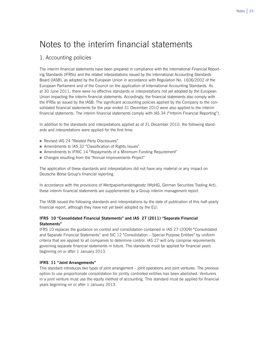## Notes to the interim financial statements

## 1. Accounting policies

The interim financial statements have been prepared in compliance with the International Financial Reporting Standards (IFRSs) and the related interpretations issued by the International Accounting Standards Board (IASB), as adopted by the European Union in accordance with Regulation No. 1606/2002 of the European Parliament and of the Council on the application of International Accounting Standards. As at 30 June 2011, there were no effective standards or interpretations not yet adopted by the European Union impacting the interim financial statements. Accordingly, the financial statements also comply with the IFRSs as issued by the IASB. The significant accounting policies applied by the Company to the consolidated financial statements for the year ended 31 December 2010 were also applied to the interim financial statements. The interim financial statements comply with IAS 34 ("Interim Financial Reporting").

In addition to the standards and interpretations applied as of 31 December 2010, the following standards and interpretations were applied for the first time:

- Revised IAS 24 "Related Party Disclosures"
- Amendments to IAS 32 "Classification of Rights Issues"
- Amendments to IFRIC 14 "Repayments of a Minimum Funding Requirement"
- Changes resulting from the "Annual Improvements Project"

The application of these standards and interpretations did not have any material or any impact on Deutsche Börse Group's financial reporting.

In accordance with the provisions of Wertpapierhandelsgesetz (WpHG, German Securities Trading Act), these interim financial statements are supplemented by a Group interim management report.

The IASB issued the following standards and interpretations by the date of publication of this half-yearly financial report, although they have not yet been adopted by the EU:

### **IFRS 10 "Consolidated Financial Statements" and IAS 27 (2011) "Separate Financial Statements"**

IFRS 10 replaces the guidance on control and consolidation contained in IAS 27 (2009) "Consolidated and Separate Financial Statements" and SIC 12 "Consolidation – Special Purpose Entities" by uniform criteria that are applied to all companies to determine control. IAS 27 will only comprise requirements governing separate financial statements in future. The standards must be applied for financial years beginning on or after 1 January 2013.

#### **IFRS 11 "Joint Arrangements"**

This standard introduces two types of joint arrangement – joint operations and joint ventures. The previous option to use proportionate consolidation for jointly controlled entities has been abolished. Venturers in a joint venture must use the equity method of accounting. This standard must be applied for financial years beginning on or after 1 January 2013.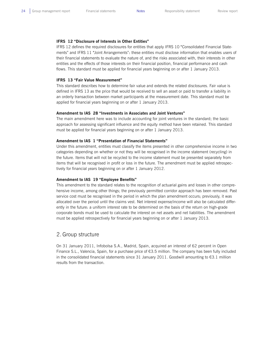#### **IFRS 12 "Disclosure of Interests in Other Entities"**

IFRS 12 defines the required disclosures for entities that apply IFRS 10 "Consolidated Financial Statements" and IFRS 11 "Joint Arrangements": these entities must disclose information that enables users of their financial statements to evaluate the nature of, and the risks associated with, their interests in other entities and the effects of those interests on their financial position, financial performance and cash flows. This standard must be applied for financial years beginning on or after 1 January 2013.

#### **IFRS 13 "Fair Value Measurement"**

This standard describes how to determine fair value and extends the related disclosures. Fair value is defined in IFRS 13 as the price that would be received to sell an asset or paid to transfer a liability in an orderly transaction between market participants at the measurement date. This standard must be applied for financial years beginning on or after 1 January 2013.

#### **Amendment to IAS 28 "Investments in Associates and Joint Ventures"**

The main amendment here was to include accounting for joint ventures in the standard; the basic approach for assessing significant influence and the equity method have been retained. This standard must be applied for financial years beginning on or after 1 January 2013.

#### **Amendment to IAS 1 "Presentation of Financial Statements"**

Under this amendment, entities must classify the items presented in other comprehensive income in two categories depending on whether or not they will be recognised in the income statement (recycling) in the future. Items that will not be recycled to the income statement must be presented separately from items that will be recognised in profit or loss in the future. The amendment must be applied retrospectively for financial years beginning on or after 1 January 2012.

#### **Amendment to IAS 19 "Employee Benefits"**

This amendment to the standard relates to the recognition of actuarial gains and losses in other comprehensive income, among other things; the previously permitted corridor approach has been removed. Past service cost must be recognised in the period in which the plan amendment occurs; previously, it was allocated over the period until the claims vest. Net interest expense/income will also be calculated differently in the future: a uniform interest rate to be determined on the basis of the return on high-grade corporate bonds must be used to calculate the interest on net assets and net liabilities. The amendment must be applied retrospectively for financial years beginning on or after 1 January 2013.

### 2. Group structure

On 31 January 2011, Infobolsa S.A., Madrid, Spain, acquired an interest of 62 percent in Open Finance S.L., Valencia, Spain, for a purchase price of €3.5 million. The company has been fully included in the consolidated financial statements since 31 January 2011. Goodwill amounting to €3.1 million results from the transaction.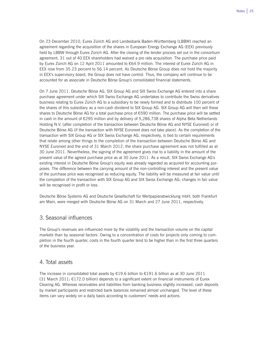On 23 December 2010, Eurex Zürich AG and Landesbank Baden-Württemberg (LBBW) reached an agreement regarding the acquisition of the shares in European Energy Exchange AG (EEX) previously held by LBBW through Eurex Zürich AG. After the closing of the tender process set out in the consortium agreement, 31 out of 40 EEX shareholders had waived a pro rata acquisition. The purchase price paid by Eurex Zürich AG on 12 April 2011 amounted to €64.9 million. The interest of Eurex Zürich AG in EEX rose from 35.23 percent to 56.14 percent. As Deutsche Börse Group does not hold the majority in EEX's supervisory board, the Group does not have control. Thus, the company will continue to be accounted for as associate in Deutsche Börse Group's consolidated financial statements.

On 7 June 2011, Deutsche Börse AG, SIX Group AG and SIX Swiss Exchange AG entered into a share purchase agreement under which SIX Swiss Exchange AG undertakes to contribute the Swiss derivatives business relating to Eurex Zürich AG to a subsidiary to be newly formed and to distribute 100 percent of the shares of this subsidiary as a non-cash dividend to SIX Group AG. SIX Group AG will then sell these shares to Deutsche Börse AG for a total purchase price of €590 million. The purchase price will be settled in cash in the amount of €295 million and by delivery of 5,286,738 shares of Alpha Beta Netherlands Holding N.V. (after completion of the transaction between Deutsche Börse AG and NYSE Euronext) or of Deutsche Börse AG (if the transaction with NYSE Euronext does not take place). As the completion of the transaction with SIX Group AG or SIX Swiss Exchange AG, respectively, is tied to certain requirements that relate among other things to the completion of the transaction between Deutsche Börse AG and NYSE Euronext and the end of 31 March 2012, the share purchase agreement was not fulfilled as at 30 June 2011. Nevertheless, the signing of the agreement gives rise to a liability in the amount of the present value of the agreed purchase price as at 30 June 2011. As a result, SIX Swiss Exchange AG's existing interest in Deutsche Börse Group's equity was already regarded as acquired for accounting purposes. The difference between the carrying amount of the non-controlling interest and the present value of the purchase price was recognised as reducing equity. The liability will be measured at fair value until the completion of the transaction with SIX Group AG and SIX Swiss Exchange AG; changes in fair value will be recognised in profit or loss.

Deutsche Börse Systems AG and Deutsche Gesellschaft für Wertpapierabwicklung mbH, both Frankfurt am Main, were merged with Deutsche Börse AG on 31 March and 27 June 2011, respectively.

### 3. Seasonal influences

The Group's revenues are influenced more by the volatility and the transaction volume on the capital markets than by seasonal factors. Owing to a concentration of costs for projects only coming to completion in the fourth quarter, costs in the fourth quarter tend to be higher than in the first three quarters of the business year.

### 4. Total assets

The increase in consolidated total assets by €19.6 billion to €191.6 billion as at 30 June 2011  $(31$  March 2011:  $E172.0$  billion) depends to a significant extent on financial instruments of Eurex Clearing AG. Whereas receivables and liabilities from banking business slightly increased, cash deposits by market participants and restricted bank balances remained almost unchanged. The level of these items can vary widely on a daily basis according to customers' needs and actions.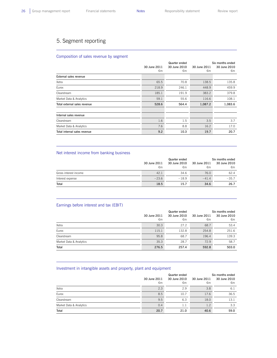## 5. Segment reporting

#### Composition of sales revenue by segment

|                              | 30 June 2011<br>€m | Quarter ended<br>30 June 2010<br>€m | 30 June 2011<br>€m | Six months ended<br>30 June 2010<br>€m |
|------------------------------|--------------------|-------------------------------------|--------------------|----------------------------------------|
| External sales revenue       |                    |                                     |                    |                                        |
| Xetra                        | 65.5               | 70.8                                | 138.5              | 135.8                                  |
| Eurex                        | 218.9              | 246.1                               | 448.9              | 459.9                                  |
| Clearstream                  | 185.1              | 191.9                               | 383.2              | 379.8                                  |
| Market Data & Analytics      | 59.1               | 55.6                                | 116.6              | 108.1                                  |
| Total external sales revenue | 528.6              | 564.4                               | 1,087.2            | 1,083.6                                |
| Internal sales revenue       |                    |                                     |                    |                                        |
| Clearstream                  | 1.6                | 1.5                                 | 3.5                | 3.7                                    |
| Market Data & Analytics      | 7.6                | 8.8                                 | 16.2               | 17.0                                   |
| Total internal sales revenue | 9.2                | 10.3                                | 19.7               | 20.7                                   |

#### Net interest income from banking business

|                       |              | Quarter ended | Six months ended |              |  |
|-----------------------|--------------|---------------|------------------|--------------|--|
|                       | 30 June 2011 | 30 June 2010  | 30 June 2011     | 30 June 2010 |  |
|                       | €m           | €m            | €m               | €m           |  |
| Gross interest income | 42.1         | 34.6          | 76.0             | 62.4         |  |
| Interest expense      | $-23.6$      | $-18.9$       | $-41.4$          | $-35.7$      |  |
| Total                 | 18.5         | 15.7          | 34.6             | 26.7         |  |

#### Earnings before interest and tax (EBIT)

|                         |                    | Quarter ended      | Six months ended   |                    |  |
|-------------------------|--------------------|--------------------|--------------------|--------------------|--|
|                         | 30 June 2011<br>€m | 30 June 2010<br>€m | 30 June 2011<br>€m | 30 June 2010<br>€m |  |
| Xetra                   | 30.3               | 27.2               | 68.7               | 53.4               |  |
| Eurex                   | 115.1              | 132.8              | 254.8              | 251.6              |  |
| Clearstream             | 95.8               | 68.7               | 196.4              | 139.3              |  |
| Market Data & Analytics | 35.3               | 28.7               | 72.9               | 58.7               |  |
| Total                   | 276.5              | 257.4              | 592.8              | 503.0              |  |

#### Investment in intangible assets and property, plant and equipment

|                         | 30 June 2011<br>€m | Quarter ended<br>30 June 2010<br>€m | 30 June 2011<br>€m | Six months ended<br>30 June 2010<br>$\epsilon$ m |
|-------------------------|--------------------|-------------------------------------|--------------------|--------------------------------------------------|
| Xetra                   | 2.3                | 2.9                                 | 3.8                | 6.1                                              |
| Eurex                   | 8.5                | 10.7                                | 17.6               | 36.5                                             |
| Clearstream             | 9.5                | 6.3                                 | 18.0               | 13.1                                             |
| Market Data & Analytics | 0.4                | 1.1                                 | 1.2                | 3.3                                              |
| Total                   | 20.7               | 21.0                                | 40.6               | 59.0                                             |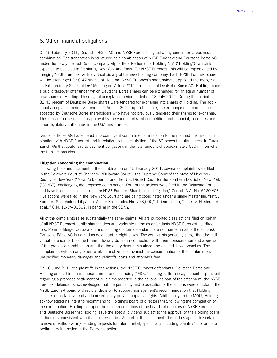## 6. Other financial obligations

On 15 February 2011, Deutsche Börse AG and NYSE Euronext signed an agreement on a business combination. The transaction is structured as a combination of NYSE Euronext and Deutsche Börse AG under the newly created Dutch company Alpha Beta Netherlands Holding N.V. ("Holding"), which is expected to be listed in Frankfurt, New York and Paris. For NYSE Euronext, this will be implemented by merging NYSE Euronext with a US subsidiary of the new holding company. Each NYSE Euronext share will be exchanged for 0.47 shares of Holding. NYSE Euronext's shareholders approved the merger at an Extraordinary Stockholders' Meeting on 7 July 2011. In respect of Deutsche Börse AG, Holding made a public takeover offer under which Deutsche Börse shares can be exchanged for an equal number of new shares of Holding. The original acceptance period ended on 13 July 2011. During this period, 82.43 percent of Deutsche Börse shares were tendered for exchange into shares of Holding. The additional acceptance period will end on 1 August 2011; up to this date, the exchange offer can still be accepted by Deutsche Börse shareholders who have not previously tendered their shares for exchange. The transaction is subject to approval by the various relevant competition and financial, securities and other regulatory authorities in the USA and Europe.

Deutsche Börse AG has entered into contingent commitments in relation to the planned business combination with NYSE Euronext and in relation to the acquisition of the 50 percent equity interest in Eurex Zürich AG that could lead to payment obligations in the total amount of approximately €30 million when the transactions close.

#### **Litigation concerning the combination**

Following the announcement of the combination on 15 February 2011, several complaints were filed in the Delaware Court of Chancery ("Delaware Court"); the Supreme Court of the State of New York, County of New York ("New York Court"); and the U.S. District Court for the Southern District of New York ("SDNY"), challenging the proposed combination. Four of the actions were filed in the Delaware Court and have been consolidated as "In re NYSE Euronext Shareholders Litigation," Consol. C.A. No. 6220-VCS. Five actions were filed in the New York Court and are being coordinated under a single master file, "NYSE Euronext Shareholder Litigation Master File," Index No. 773,000/11. One action, "Jones v. Niederauer, et al.," C.N. 11-CV-01502, is pending in the SDNY.

All of the complaints raise substantially the same claims. All are purported class actions filed on behalf of all NYSE Euronext public shareholders and variously name as defendants NYSE Euronext, its directors, Pomme Merger Corporation and Holding (certain defendants are not named in all of the actions). Deutsche Börse AG is named as defendant in eight cases. The complaints generally allege that the individual defendants breached their fiduciary duties in connection with their consideration and approval of the proposed combination and that the entity defendants aided and abetted those breaches. The complaints seek, among other relief, injunctive relief against the consummation of the combination, unspecified monetary damages and plaintiffs' costs and attorney's fees.

On 16 June 2011 the plaintiffs in the actions, the NYSE Euronext defendants, Deutsche Börse and Holding entered into a memorandum of understanding ("MOU") setting forth their agreement in principal regarding a proposed settlement of all claims asserted in the actions. As part of the settlement, the NYSE Euronext defendants acknowledged that the pendency and prosecution of the actions were a factor in the NYSE Euronext board of directors' decision to support management's recommendation that Holding declare a special dividend and consequently provide appraisal rights. Additionally, in the MOU, Holding acknowledged its intent to recommend to Holding's board of directors that, following the completion of the combination, Holding act upon the recommendations of the boards of directors of NYSE Euronext and Deutsche Börse that Holding issue the special dividend subject to the approval of the Holding board of directors, consistent with its fiduciary duties. As part of the settlement, the parties agreed to seek to remove or withdraw any pending requests for interim relief, specifically including plaintiffs' motion for a preliminary injunction in the Delaware action.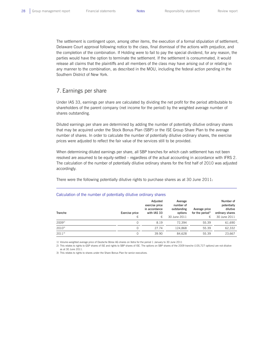The settlement is contingent upon, among other items, the execution of a formal stipulation of settlement, Delaware Court approval following notice to the class, final dismissal of the actions with prejudice, and the completion of the combination. If Holding were to fail to pay the special dividend, for any reason, the parties would have the option to terminate the settlement. If the settlement is consummated, it would release all claims that the plaintiffs and all members of the class may have arising out of or relating in any manner to the combination, as described in the MOU, including the federal action pending in the Southern District of New York.

## 7. Earnings per share

Under IAS 33, earnings per share are calculated by dividing the net profit for the period attributable to shareholders of the parent company (net income for the period) by the weighted average number of shares outstanding.

Diluted earnings per share are determined by adding the number of potentially dilutive ordinary shares that may be acquired under the Stock Bonus Plan (SBP) or the ISE Group Share Plan to the average number of shares. In order to calculate the number of potentially dilutive ordinary shares, the exercise prices were adjusted to reflect the fair value of the services still to be provided.

When determining diluted earnings per share, all SBP tranches for which cash settlement has not been resolved are assumed to be equity-settled – regardless of the actual accounting in accordance with IFRS 2. The calculation of the number of potentially dilutive ordinary shares for the first half of 2010 was adjusted accordingly.

There were the following potentially dilutive rights to purchase shares as at 30 June 2011:

| Tranche    | Exercise price<br>€ | Adjusted<br>exercise price<br>in accordance<br>with IAS 33<br>€ | Average<br>number of<br>outstanding<br>options<br>30 June 2011 | Average price<br>for the period $1$<br>€, | Number of<br>potentially<br>dilutive<br>ordinary shares<br>30 June 2011 |
|------------|---------------------|-----------------------------------------------------------------|----------------------------------------------------------------|-------------------------------------------|-------------------------------------------------------------------------|
| $2009^{2}$ | 0                   | 8.19                                                            | 72.394                                                         | 55.39                                     | 61.690                                                                  |
| $2010^{3}$ | 0                   | 27.74                                                           | 124.868                                                        | 55.39                                     | 62,332                                                                  |
| $2011^{3}$ |                     | 39.90                                                           | 84.628                                                         | 55.39                                     | 23,667                                                                  |

#### Calculation of the number of potentially dilutive ordinary shares

1) Volume-weighted average price of Deutsche Börse AG shares on Xetra for the period 1 January to 30 June 2011

2) This relates to rights to GSP shares of ISE and rights to SBP shares of ISE. The options on SBP shares of the 2009 tranche (105,727 options) are not dilutive as at 30 June 2011.

3) This relates to rights to shares under the Share Bonus Plan for senior executives.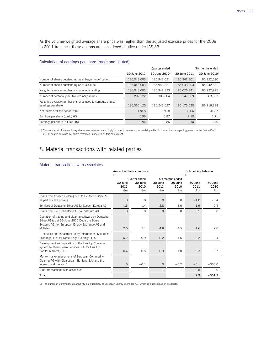As the volume-weighted average share price was higher than the adjusted exercise prices for the 2009 to 2011 tranches, these options are considered dilutive under IAS 33.

#### Calculation of earnings per share (basic and diluted)

|                                                                                 | Six months ended<br>Quarter ended |                     |              |                            |  |
|---------------------------------------------------------------------------------|-----------------------------------|---------------------|--------------|----------------------------|--|
|                                                                                 | 30 June 2011                      | 30 June $2010^{11}$ | 30 June 2011 | 30 June 2010 <sup>1)</sup> |  |
| Number of shares outstanding as at beginning of period                          | 186,043,003                       | 185,943,021         | 185,942,801  | 185,922,690                |  |
| Number of shares outstanding as at 30 June                                      | 186,043,003                       | 185,942,821         | 186,043,003  | 185,942,821                |  |
| Weighted average number of shares outstanding                                   | 186,043,003                       | 185,942,823         | 186,025,841  | 185,932,925                |  |
| Number of potentially dilutive ordinary shares                                  | 292,122                           | 303,804             | 147,689      | 283,363                    |  |
| Weighted average number of shares used to compute diluted<br>earnings per share | 186,335,125                       | 186.246.627         | 186.173.530  | 186,216,288                |  |
| Net income for the period $(\epsilon m)$                                        | 178.8                             | 160.8               | 391.6        | 317.7                      |  |
| Earnings per share (basic) $(\epsilon)$                                         | 0.96                              | 0.87                | 2.10         | 1.71                       |  |
| Earnings per share (diluted) $(\epsilon)$                                       | 0.96                              | 0.86                | 2.10         | 1.70                       |  |

1) The number of dilutive ordinary shares was adjusted accordingly in order to enhance comparability with disclosures for the reporting period. In the first half of<br>2011, diluted earnings per share remained unaffected by t

## 8. Material transactions with related parties

#### Material transactions with associates

|                                                                                                                                                                        | Amount of the transactions |                                  |                 |                                     |                 | <b>Outstanding balances</b> |  |
|------------------------------------------------------------------------------------------------------------------------------------------------------------------------|----------------------------|----------------------------------|-----------------|-------------------------------------|-----------------|-----------------------------|--|
|                                                                                                                                                                        | 30 June<br>2011            | Quarter ended<br>30 June<br>2010 | 30 June<br>2011 | Six months ended<br>30 June<br>2010 | 30 June<br>2011 | 30 June<br>2010             |  |
|                                                                                                                                                                        | €m                         | €m                               | $\n  Em\n$      | €m                                  | €m              | €m                          |  |
| Loans from Scoach Holding S.A. to Deutsche Börse AG<br>as part of cash pooling                                                                                         | $\circ$                    | 0                                | $\circ$         | $\Omega$                            | $-4.0$          | $-3.4$                      |  |
| Services of Deutsche Börse AG for Scoach Europa AG                                                                                                                     | 1.5                        | 1.4                              | 2.8             | 3.0                                 | 1.9             | 2.4                         |  |
| Loans from Deutsche Börse AG to Indexium AG                                                                                                                            | $\Omega$                   | $\Omega$                         | $\Omega$        | $\Omega$                            | 3.5             | $\Omega$                    |  |
| Operation of trading and clearing software by Deutsche<br>Börse AG (as at 30 June 2010 Deutsche Börse<br>Systems AG) for European Energy Exchange AG and<br>affiliates | 2.6                        | 2.1                              | 4.8             | 4.5                                 | 1.6             | 2.6                         |  |
| IT services and infrastructure by International Securities<br>Exchange, LLC for Direct Edge Holdings, LLC                                                              | 0.2                        | 0.9                              | 0.2             | 1.6                                 | 0.2             | 2.4                         |  |
| Development and operation of the Link Up Converter<br>system by Clearstream Services S.A. for Link Up<br>Capital Markets, S.L.                                         | 0.4                        | 0.5                              | 0.9             | 1.0                                 | 0.3             | 0.7                         |  |
| Money market placements of European Commodity<br>Clearing AG with Clearstream Banking S.A. and the<br>interest paid thereon <sup>1)</sup>                              | $\overline{0}$             | $-0.1$                           | $\Omega$        | $-0.2$                              | $-0.1$          | $-366.0$                    |  |
| Other transactions with associates                                                                                                                                     |                            |                                  |                 |                                     | $-0.5$          | $\Omega$                    |  |
| Total                                                                                                                                                                  |                            |                                  |                 |                                     | 2.9             | $-361.3$                    |  |

1) The European Commodity Clearing AG is a subsidiary of European Energy Exchange AG, which is classified as an associate.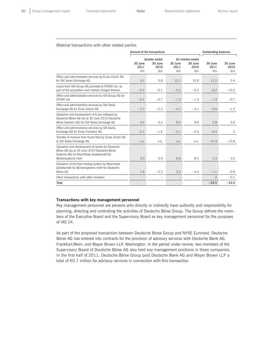L

#### Material transactions with other related parties

|                                                                                                                                                                    | Amount of the transactions |                                        |                       |                                           |                       | <b>Outstanding balances</b> |  |
|--------------------------------------------------------------------------------------------------------------------------------------------------------------------|----------------------------|----------------------------------------|-----------------------|-------------------------------------------|-----------------------|-----------------------------|--|
|                                                                                                                                                                    | 30 June<br>2011<br>€m      | Quarter ended<br>30 June<br>2010<br>€m | 30 June<br>2011<br>€m | Six months ended<br>30 June<br>2010<br>€m | 30 June<br>2011<br>€m | 30 June<br>2010<br>€m       |  |
| Office and administrative services by Eurex Zürich AG<br>for SIX Swiss Exchange AG                                                                                 | 5.1                        | 5.8                                    | 12.1                  | 12.8                                      | 12.2                  | 2.4                         |  |
| Loans from SIX Group AG provided to STOXX Ltd. as<br>part of the acquisition and interest charges thereon                                                          | $-0.1$                     | $-0.1$                                 | $-0.2$                | $-0.2$                                    | $-6.2$                | $-15.2$                     |  |
| Office and administrative services by SIX Group AG for<br>STOXX Ltd.                                                                                               | $-0.1$                     | $-0.7$                                 | $-1.3$                | $-1.4$                                    | $-1.3$                | $-0.7$                      |  |
| Office and administrative services by SIX Swiss<br>Exchange AG for Eurex Zürich AG                                                                                 | $-2.7$                     | $-2.3$                                 | $-4.7$                | $-4.1$                                    | $-0.9$                | $-1.2$                      |  |
| Operation and development of Eurex software by<br>Deutsche Börse AG (as at 30 June 2010 Deutsche<br>Börse Systems AG) for SIX Swiss Exchange AG                    | 4.2                        | 5.4                                    | 8.3                   | 9.8                                       | 2.8                   | 3.0                         |  |
| Office and administrative services by SIX Swiss<br>Exchange AG for Eurex Frankfurt AG                                                                              | $-2.1$                     | $-1.6$                                 | $-3.1$                | $-2.5$                                    | $-0.4$                | $\circ$                     |  |
| Transfer of revenue from Eurex fees by Eurex Zürich AG<br>to SIX Swiss Exchange AG                                                                                 | n.a.                       | n.a.                                   | n.a.                  | n.a.                                      | $-31.9$               | $-13.6$                     |  |
| Operation and development of Xontro by Deutsche<br>Börse AG (as at 30 June 2010 Deutsche Börse<br>Systems AG) for BrainTrade Gesellschaft für<br>Börsensysteme mbH | 3.0                        | 3.9                                    | 6.9                   | 8.3                                       | 2.3                   | 3.2                         |  |
| Operation of the floor trading system by BrainTrade<br>Gesellschaft für Börsensysteme mbH for Deutsche<br>Börse AG                                                 | 1.6                        | $-2.3$                                 | 3.2                   | $-4.4$                                    | $-1.1$                | $-0.8$                      |  |
| Other transactions with other investors                                                                                                                            |                            |                                        |                       | $\overline{\phantom{0}}$                  | $\circ$               | $-0.1$                      |  |
| Total                                                                                                                                                              |                            |                                        |                       |                                           | $-24.5$               | $-23.0$                     |  |

#### **Transactions with key management personnel**

Key management personnel are persons who directly or indirectly have authority and responsibility for planning, directing and controlling the activities of Deutsche Börse Group. The Group defines the members of the Executive Board and the Supervisory Board as key management personnel for the purposes of IAS 24.

As part of the proposed transaction between Deutsche Börse Group and NYSE Euronext, Deutsche Börse AG has entered into contracts for the provision of advisory services with Deutsche Bank AG, Frankfurt/Main, and Mayer Brown LLP, Washington. In the period under review, two members of the Supervisory Board of Deutsche Börse AG also held key management positions in these companies. In the first half of 2011, Deutsche Börse Group paid Deutsche Bank AG and Mayer Brown LLP a total of €0.7 million for advisory services in connection with this transaction.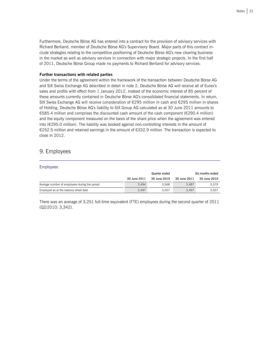Furthermore, Deutsche Börse AG has entered into a contract for the provision of advisory services with Richard Berliand, member of Deutsche Börse AG's Supervisory Board. Major parts of this contract include strategies relating to the competitive positioning of Deutsche Börse AG's new clearing business in the market as well as advisory services in connection with major strategic projects. In the first half of 2011, Deutsche Börse Group made no payments to Richard Berliand for advisory services.

#### **Further transactions with related parties**

Under the terms of the agreement within the framework of the transaction between Deutsche Börse AG and SIX Swiss Exchange AG described in detail in note 2, Deutsche Börse AG will receive all of Eurex's sales and profits with effect from 1 January 2012, instead of the economic interest of 85 percent of these amounts currently contained in Deutsche Börse AG's consolidated financial statements. In return, SIX Swiss Exchange AG will receive consideration of €295 million in cash and €295 million in shares of Holding. Deutsche Börse AG's liability to SIX Group AG calculated as at 30 June 2011 amounts to €585.4 million and comprises the discounted cash amount of the cash component (€290.4 million) and the equity component measured on the basis of the share price when the agreement was entered into (€295.0 million). The liability was booked against non-controlling interests in the amount of €252.5 million and retained earnings in the amount of €332.9 million. The transaction is expected to close in 2012.

### 9. Employees

#### Employees

|                                               |              | Quarter ended | Six months ended |              |  |
|-----------------------------------------------|--------------|---------------|------------------|--------------|--|
|                                               | 30 June 2011 | 30 June 2010  | 30 June 2011     | 30 June 2010 |  |
| Average number of employees during the period | 3.494        | 3.568         | 3.487            | 3.579        |  |
| Employed as at the balance sheet date         | 3.497        | 3.557         | 3.497            | 3.557        |  |

There was an average of 3,251 full-time equivalent (FTE) employees during the second quarter of 2011 (Q2/2010: 3,342).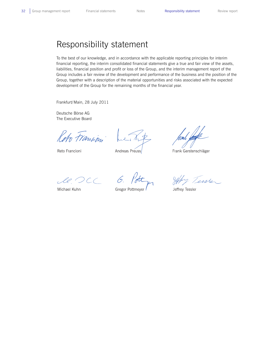## Responsibility statement

To the best of our knowledge, and in accordance with the applicable reporting principles for interim financial reporting, the interim consolidated financial statements give a true and fair view of the assets, liabilities, financial position and profit or loss of the Group, and the interim management report of the Group includes a fair review of the development and performance of the business and the position of the Group, together with a description of the material opportunities and risks associated with the expected development of the Group for the remaining months of the financial year.

Frankfurt/Main, 28 July 2011

Deutsche Börse AG The Executive Board

Reto Francion

Reto Francioni

Andreas Preuss

Frank Gerstenschläger

le DCC

Michael Kuhn

6. Gregor Pottmeyer

Jeffry Tessler

Jeffrey Tessler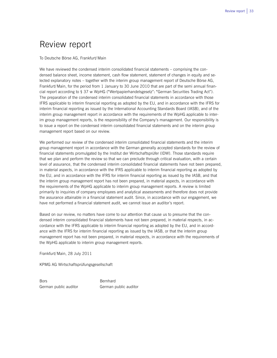## Review report

To Deutsche Börse AG, Frankfurt/Main

We have reviewed the condensed interim consolidated financial statements – comprising the condensed balance sheet, income statement, cash flow statement, statement of changes in equity and selected explanatory notes – together with the interim group management report of Deutsche Börse AG, Frankfurt/Main, for the period from 1 January to 30 June 2010 that are part of the semi annual financial report according to § 37 w WpHG ("Wertpapierhandelsgesetz": "German Securities Trading Act"). The preparation of the condensed interim consolidated financial statements in accordance with those IFRS applicable to interim financial reporting as adopted by the EU, and in accordance with the IFRS for interim financial reporting as issued by the International Accounting Standards Board (IASB), and of the interim group management report in accordance with the requirements of the WpHG applicable to interim group management reports, is the responsibility of the Company's management. Our responsibility is to issue a report on the condensed interim consolidated financial statements and on the interim group management report based on our review.

We performed our review of the condensed interim consolidated financial statements and the interim group management report in accordance with the German generally accepted standards for the review of financial statements promulgated by the Institut der Wirtschaftsprüfer (IDW). Those standards require that we plan and perform the review so that we can preclude through critical evaluation, with a certain level of assurance, that the condensed interim consolidated financial statements have not been prepared, in material aspects, in accordance with the IFRS applicable to interim financial reporting as adopted by the EU, and in accordance with the IFRS for interim financial reporting as issued by the IASB, and that the interim group management report has not been prepared, in material aspects, in accordance with the requirements of the WpHG applicable to interim group management reports. A review is limited primarily to inquiries of company employees and analytical assessments and therefore does not provide the assurance attainable in a financial statement audit. Since, in accordance with our engagement, we have not performed a financial statement audit, we cannot issue an auditor's report.

Based on our review, no matters have come to our attention that cause us to presume that the condensed interim consolidated financial statements have not been prepared, in material respects, in accordance with the IFRS applicable to interim financial reporting as adopted by the EU, and in accordance with the IFRS for interim financial reporting as issued by the IASB, or that the interim group management report has not been prepared, in material respects, in accordance with the requirements of the WpHG applicable to interim group management reports.

Frankfurt/Main, 28 July 2011

KPMG AG Wirtschaftsprüfungsgesellschaft

Bors Bernhard

German public auditor German public auditor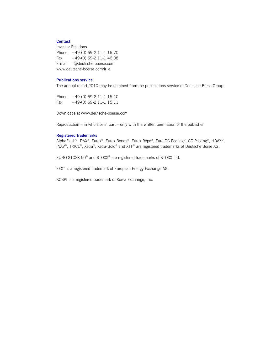#### **Contact**

Investor Relations Phone +49-(0) 69-2 11-1 16 70 Fax  $+49-(0)$  69-2 11-1 46 08 E-mail ir@deutsche-boerse.com www.deutsche-boerse.com/ir\_e

#### **Publications service**

The annual report 2010 may be obtained from the publications service of Deutsche Börse Group:

Phone +49-(0) 69-2 11-1 15 10 Fax +49-(0) 69-2 11-1 15 11

Downloads at www.deutsche-boerse.com

Reproduction – in whole or in part – only with the written permission of the publisher

#### **Registered trademarks**

AlphaFlash®, DAX®, Eurex®, Eurex Bonds®, Eurex Repo®, Euro GC Pooling®, GC Pooling®, HDAX®, iNAV®, TRICE®, Xetra®, Xetra-Gold® and XTF® are registered trademarks of Deutsche Börse AG.

EURO STOXX 50® and STOXX® are registered trademarks of STOXX Ltd.

EEX® is a registered trademark of European Energy Exchange AG.

KOSPI is a registered trademark of Korea Exchange, Inc.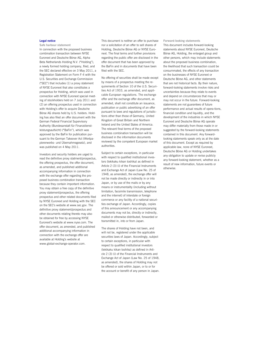#### **Legal notice**

**Safe harbour statement** 

In connection with the proposed business combination transaction between NYSE Euronext and Deutsche Börse AG, Alpha Beta Netherlands Holding N.V. ("Holding"), a newly formed holding company, filed, and the SEC declared effective on 3 May 2011, a Registration Statement on Form F-4 with the U.S. Securities and Exchange Commission ("SEC") that includes (1) a proxy statement of NYSE Euronext that also constitutes a prospectus for Holding, which was used in connection with NYSE Euronext special meeting of stockholders held on 7 July 2011 and (2) an offering prospectus used in connection with Holding's offer to acquire Deutsche Börse AG shares held by U.S. holders. Holding has also filed an offer document with the German Federal Financial Supervisory Authority (Bundesanstalt für Finanzdienstleistungsaufsicht) ("BaFin"), which was approved by the BaFin for publication pursuant to the German Takeover Act (Wertpapiererwerbs- und Übernahmegesetz), and was published on 4 May 2011.

Investors and security holders are urged to read the definitive proxy statment/prospectus, the offering prospectus, the offer document, as amended, and published additional accompanying information in connection with the exchange offer regarding the proposed business combination transaction because they contain important information. You may obtain a free copy of the definitive proxy statement/prospectus, the offering prospectus and other related documents filed by NYSE Euronext and Holding with the SEC on the SEC's website at www.sec.gov. The definitive proxy statement/prospectus and other documents relating thereto may also be obtained for free by accessing NYSE Euronext's website at www.nyse.com. The offer document, as amended, and published additional accompanying information in connection with the exchange offer are available at Holding's website at www.global-exchange-operator.com.

This document is neither an offer to purchase nor a solicitation of an offer to sell shares of Holding, Deutsche Börse AG or NYSE Euronext. The final terms and further provisions regarding the public offer are disclosed in the offer document that has been approved by the BaFin and in documents that have been filed with the SEC.

No offering of securities shall be made except by means of a prospectus meeting the requirements of Section 10 of the U.S. Securities Act of 1933, as amended, and applicable European regulations. The exchange offer and the exchange offer document, as amended, shall not constitute an issuance, publication or public advertising of an offer pursuant to laws and regulations of jurisdictions other than those of Germany, United Kingdom of Great Britain and Northern Ireland and the United States of America. The relevant final terms of the proposed business combination transaction will be disclosed in the information documents reviewed by the competent European market authorities.

Subject to certain exceptions, in particular with respect to qualified institutional investors (tekikaku kikan toshika) as defined in Article 2 (3) (i) of the Financial Instruments and Exchange Act of Japan (Law No. 25 of 1948, as amended), the exchange offer will not be made directly or indirectly in or into Japan, or by use of the mails or by any means or instrumentality (including without limitation, facsimile transmission, telephone and the internet) of interstate or foreign commerce or any facility of a national securities exchange of Japan. Accordingly, copies of this announcement or any accompanying documents may not be, directly or indirectly, mailed or otherwise distributed, forwarded or transmitted in, into or from Japan.

The shares of Holding have not been, and will not be, registered under the applicable securities laws of Japan. Accordingly, subject to certain exceptions, in particular with respect to qualified institutional investors (tekikaku kikan toshika) as defined in Article 2 (3) (i) of the Financial Instruments and Exchange Act of Japan (Law No. 25 of 1948, as amended), the shares of Holding may not be offered or sold within Japan, or to or for the account or benefit of any person in Japan. **Forward-looking statements**  This document includes forward-looking statements about NYSE Euronext, Deutsche Börse AG, Holding, the enlarged group and other persons, which may include statements about the proposed business combination, the likelihood that such transaction could be consummated, the effects of any transaction on the businesses of NYSE Euronext or Deutsche Börse AG, and other statements that are not historical facts. By their nature, forward-looking statements involve risks and uncertainties because they relate to events and depend on circumstances that may or may not occur in the future. Forward-looking statements are not guarantees of future performance and actual results of opera-tions, financial condition and liquidity, and the development of the industries in which NYSE Euronext and Deutsche Börse AG operate may differ materially from those made in or suggested by the forward-looking statements contained in this document. Any forwardlooking statements speak only as at the date of this document. Except as required by applicable law, none of NYSE Euronext, Deutsche Börse AG or Holding undertakes any obligation to update or revise publicly any forward-looking statement, whether as a result of new information, future events or otherwise.